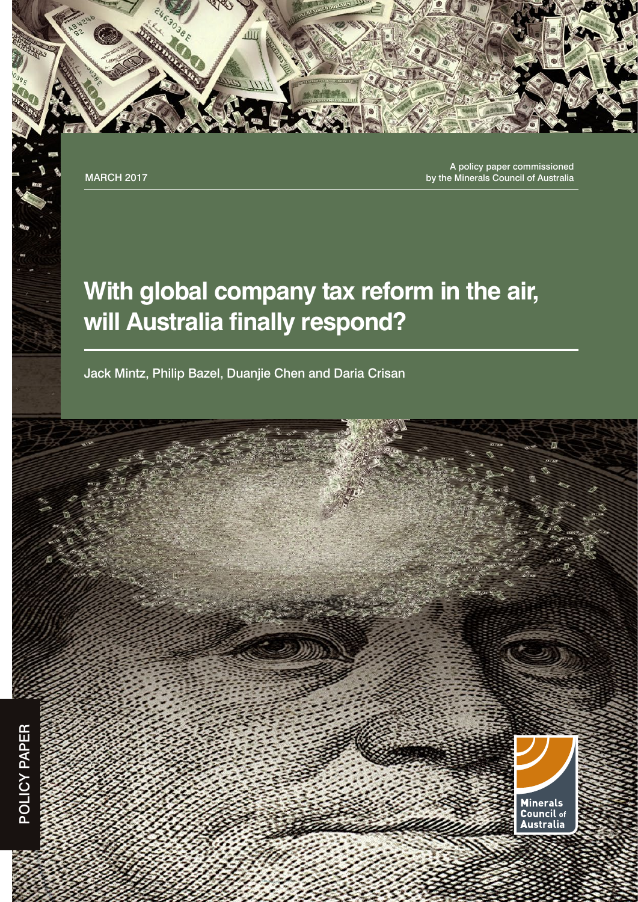A policy paper commissioned MARCH 2017 **by the Minerals Council of Australia** 

## **With global company tax reform in the air, will Australia finally respond?**

Jack Mintz, Philip Bazel, Duanjie Chen and Daria Crisan

đП

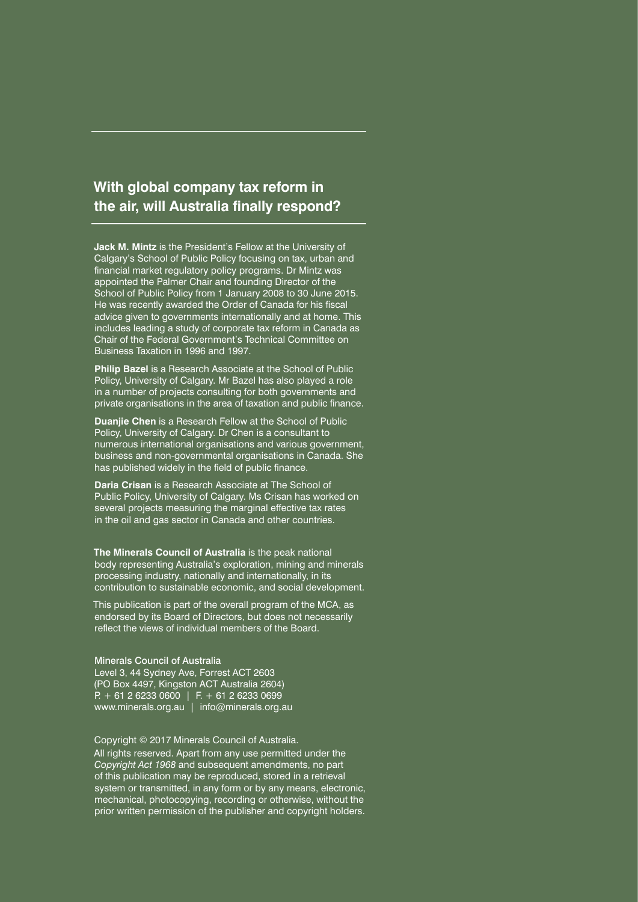#### **With global company tax reform in the air, will Australia finally respond?**

**Jack M. Mintz** is the President's Fellow at the University of Calgary's School of Public Policy focusing on tax, urban and financial market regulatory policy programs. Dr Mintz was appointed the Palmer Chair and founding Director of the School of Public Policy from 1 January 2008 to 30 June 2015. He was recently awarded the Order of Canada for his fiscal advice given to governments internationally and at home. This includes leading a study of corporate tax reform in Canada as Chair of the Federal Government's Technical Committee on Business Taxation in 1996 and 1997.

**Philip Bazel** is a Research Associate at the School of Public Policy, University of Calgary. Mr Bazel has also played a role in a number of projects consulting for both governments and private organisations in the area of taxation and public finance.

**Duanjie Chen** is a Research Fellow at the School of Public Policy, University of Calgary. Dr Chen is a consultant to numerous international organisations and various government, business and non-governmental organisations in Canada. She has published widely in the field of public finance.

**Daria Crisan** is a Research Associate at The School of Public Policy, University of Calgary. Ms Crisan has worked on several projects measuring the marginal effective tax rates in the oil and gas sector in Canada and other countries.

**The Minerals Council of Australia** is the peak national body representing Australia's exploration, mining and minerals processing industry, nationally and internationally, in its contribution to sustainable economic, and social development.

This publication is part of the overall program of the MCA, as endorsed by its Board of Directors, but does not necessarily reflect the views of individual members of the Board.

Minerals Council of Australia Level 3, 44 Sydney Ave, Forrest ACT 2603 (PO Box 4497, Kingston ACT Australia 2604)  $P + 61 2 6233 0600$  | F. + 61 2 6233 0699 www.minerals.org.au | info@minerals.org.au

Copyright © 2017 Minerals Council of Australia. All rights reserved. Apart from any use permitted under the *Copyright Act 1968* and subsequent amendments, no part of this publication may be reproduced, stored in a retrieval system or transmitted, in any form or by any means, electronic, mechanical, photocopying, recording or otherwise, without the prior written permission of the publisher and copyright holders.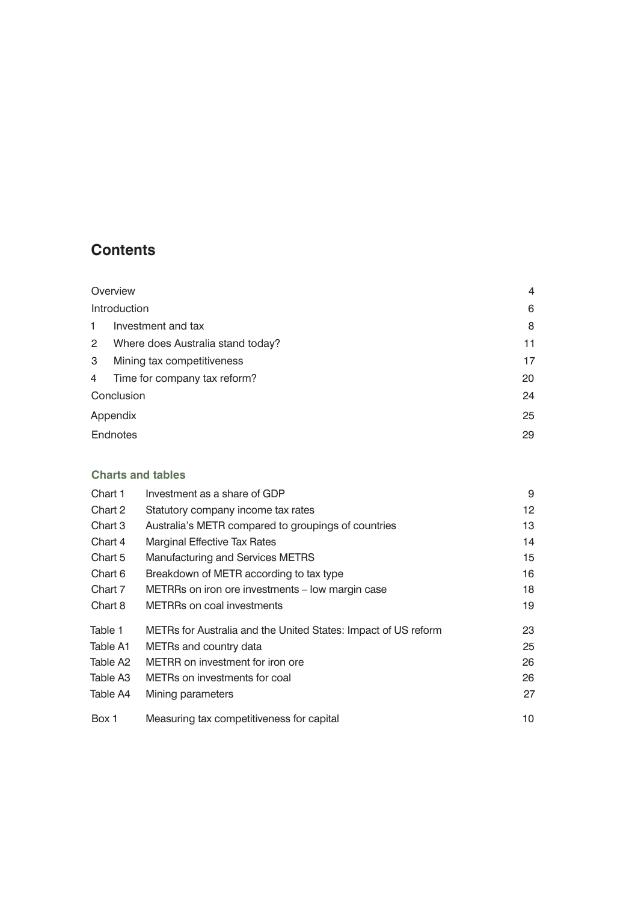#### **Contents**

|              | Overview                          | $\overline{4}$ |
|--------------|-----------------------------------|----------------|
|              | Introduction                      | 6              |
| $\mathbf{1}$ | Investment and tax                | 8              |
| $\mathbf{2}$ | Where does Australia stand today? | 11             |
| 3            | Mining tax competitiveness        | 17             |
| 4            | Time for company tax reform?      | 20             |
|              | Conclusion                        | 24             |
| Appendix     | 25                                |                |
| Endnotes     | 29                                |                |

#### **Charts and tables**

| Chart 1  | Investment as a share of GDP                                   | 9  |
|----------|----------------------------------------------------------------|----|
| Chart 2  | Statutory company income tax rates                             | 12 |
| Chart 3  | Australia's METR compared to groupings of countries            | 13 |
| Chart 4  | <b>Marginal Effective Tax Rates</b>                            | 14 |
| Chart 5  | Manufacturing and Services METRS                               | 15 |
| Chart 6  | Breakdown of METR according to tax type                        | 16 |
| Chart 7  | METRRs on iron ore investments - low margin case               | 18 |
| Chart 8  | <b>METRRs on coal investments</b>                              | 19 |
| Table 1  | METRs for Australia and the United States: Impact of US reform | 23 |
| Table A1 | METRs and country data                                         | 25 |
| Table A2 | METRR on investment for iron ore                               | 26 |
| Table A3 | METRs on investments for coal                                  | 26 |
| Table A4 | Mining parameters                                              | 27 |
| Box 1    | Measuring tax competitiveness for capital                      | 10 |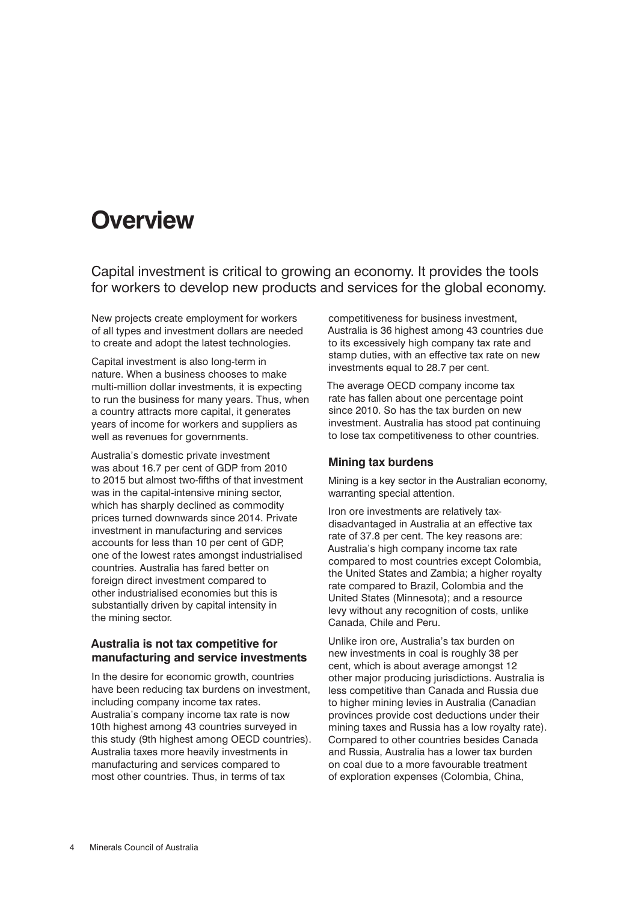## **Overview**

Capital investment is critical to growing an economy. It provides the tools for workers to develop new products and services for the global economy.

New projects create employment for workers of all types and investment dollars are needed to create and adopt the latest technologies.

Capital investment is also long-term in nature. When a business chooses to make multi-million dollar investments, it is expecting to run the business for many years. Thus, when a country attracts more capital, it generates years of income for workers and suppliers as well as revenues for governments.

Australia's domestic private investment was about 16.7 per cent of GDP from 2010 to 2015 but almost two-fifths of that investment was in the capital-intensive mining sector, which has sharply declined as commodity prices turned downwards since 2014. Private investment in manufacturing and services accounts for less than 10 per cent of GDP, one of the lowest rates amongst industrialised countries. Australia has fared better on foreign direct investment compared to other industrialised economies but this is substantially driven by capital intensity in the mining sector.

#### **Australia is not tax competitive for manufacturing and service investments**

In the desire for economic growth, countries have been reducing tax burdens on investment, including company income tax rates. Australia's company income tax rate is now 10th highest among 43 countries surveyed in this study (9th highest among OECD countries). Australia taxes more heavily investments in manufacturing and services compared to most other countries. Thus, in terms of tax

competitiveness for business investment, Australia is 36 highest among 43 countries due to its excessively high company tax rate and stamp duties, with an effective tax rate on new investments equal to 28.7 per cent.

The average OECD company income tax rate has fallen about one percentage point since 2010. So has the tax burden on new investment. Australia has stood pat continuing to lose tax competitiveness to other countries.

#### **Mining tax burdens**

Mining is a key sector in the Australian economy, warranting special attention.

Iron ore investments are relatively taxdisadvantaged in Australia at an effective tax rate of 37.8 per cent. The key reasons are: Australia's high company income tax rate compared to most countries except Colombia, the United States and Zambia; a higher royalty rate compared to Brazil, Colombia and the United States (Minnesota); and a resource levy without any recognition of costs, unlike Canada, Chile and Peru.

Unlike iron ore, Australia's tax burden on new investments in coal is roughly 38 per cent, which is about average amongst 12 other major producing jurisdictions. Australia is less competitive than Canada and Russia due to higher mining levies in Australia (Canadian provinces provide cost deductions under their mining taxes and Russia has a low royalty rate). Compared to other countries besides Canada and Russia, Australia has a lower tax burden on coal due to a more favourable treatment of exploration expenses (Colombia, China,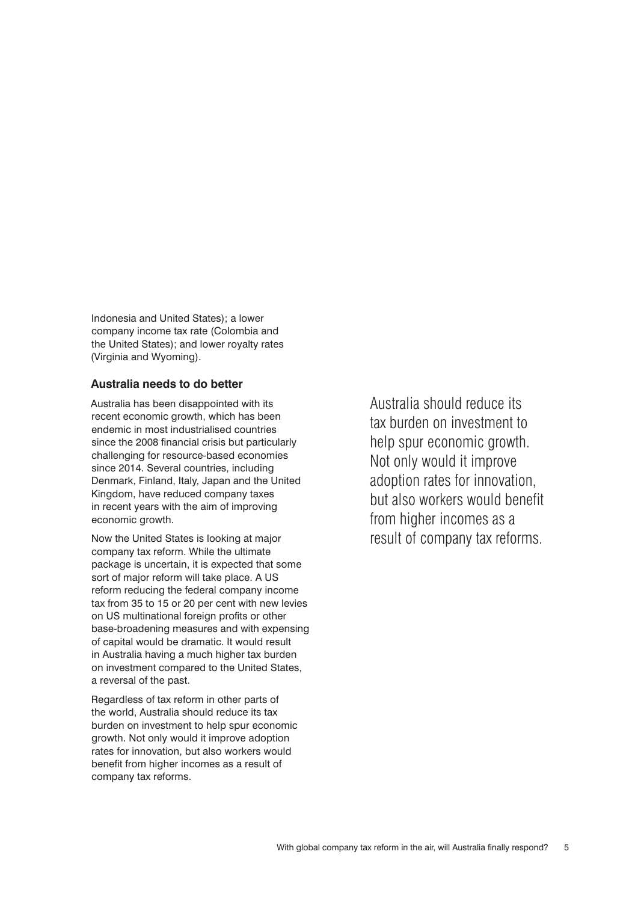Indonesia and United States); a lower company income tax rate (Colombia and the United States); and lower royalty rates (Virginia and Wyoming).

#### **Australia needs to do better**

Australia has been disappointed with its recent economic growth, which has been endemic in most industrialised countries since the 2008 financial crisis but particularly challenging for resource-based economies since 2014. Several countries, including Denmark, Finland, Italy, Japan and the United Kingdom, have reduced company taxes in recent years with the aim of improving economic growth.

Now the United States is looking at major company tax reform. While the ultimate package is uncertain, it is expected that some sort of major reform will take place. A US reform reducing the federal company income tax from 35 to 15 or 20 per cent with new levies on US multinational foreign profits or other base-broadening measures and with expensing of capital would be dramatic. It would result in Australia having a much higher tax burden on investment compared to the United States, a reversal of the past.

Regardless of tax reform in other parts of the world, Australia should reduce its tax burden on investment to help spur economic growth. Not only would it improve adoption rates for innovation, but also workers would benefit from higher incomes as a result of company tax reforms.

Australia should reduce its tax burden on investment to help spur economic growth. Not only would it improve adoption rates for innovation, but also workers would benefit from higher incomes as a result of company tax reforms.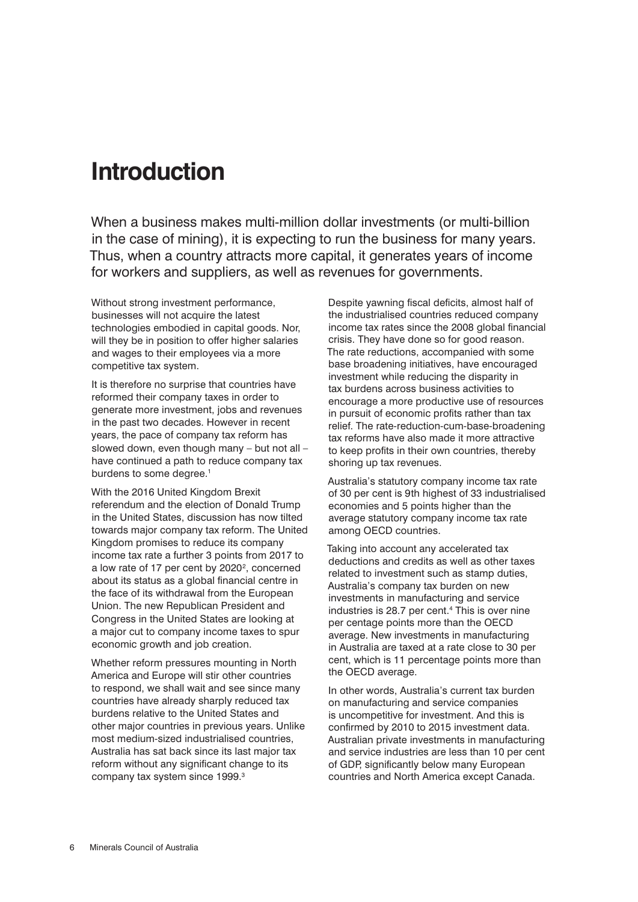### **Introduction**

When a business makes multi-million dollar investments (or multi-billion in the case of mining), it is expecting to run the business for many years. Thus, when a country attracts more capital, it generates years of income for workers and suppliers, as well as revenues for governments.

Without strong investment performance, businesses will not acquire the latest technologies embodied in capital goods. Nor, will they be in position to offer higher salaries and wages to their employees via a more competitive tax system.

It is therefore no surprise that countries have reformed their company taxes in order to generate more investment, jobs and revenues in the past two decades. However in recent years, the pace of company tax reform has slowed down, even though many – but not all – have continued a path to reduce company tax burdens to some degree.<sup>1</sup>

With the 2016 United Kingdom Brexit referendum and the election of Donald Trump in the United States, discussion has now tilted towards major company tax reform. The United Kingdom promises to reduce its company income tax rate a further 3 points from 2017 to a low rate of 17 per cent by 2020<sup>2</sup>, concerned about its status as a global financial centre in the face of its withdrawal from the European Union. The new Republican President and Congress in the United States are looking at a major cut to company income taxes to spur economic growth and job creation.

Whether reform pressures mounting in North America and Europe will stir other countries to respond, we shall wait and see since many countries have already sharply reduced tax burdens relative to the United States and other major countries in previous years. Unlike most medium-sized industrialised countries, Australia has sat back since its last major tax reform without any significant change to its company tax system since 1999.3

Despite yawning fiscal deficits, almost half of the industrialised countries reduced company income tax rates since the 2008 global financial crisis. They have done so for good reason. The rate reductions, accompanied with some base broadening initiatives, have encouraged investment while reducing the disparity in tax burdens across business activities to encourage a more productive use of resources in pursuit of economic profits rather than tax relief. The rate-reduction-cum-base-broadening tax reforms have also made it more attractive to keep profits in their own countries, thereby shoring up tax revenues.

Australia's statutory company income tax rate of 30 per cent is 9th highest of 33 industrialised economies and 5 points higher than the average statutory company income tax rate among OECD countries.

Taking into account any accelerated tax deductions and credits as well as other taxes related to investment such as stamp duties, Australia's company tax burden on new investments in manufacturing and service industries is 28.7 per cent.4 This is over nine per centage points more than the OECD average. New investments in manufacturing in Australia are taxed at a rate close to 30 per cent, which is 11 percentage points more than the OECD average.

In other words, Australia's current tax burden on manufacturing and service companies is uncompetitive for investment. And this is confirmed by 2010 to 2015 investment data. Australian private investments in manufacturing and service industries are less than 10 per cent of GDP, significantly below many European countries and North America except Canada.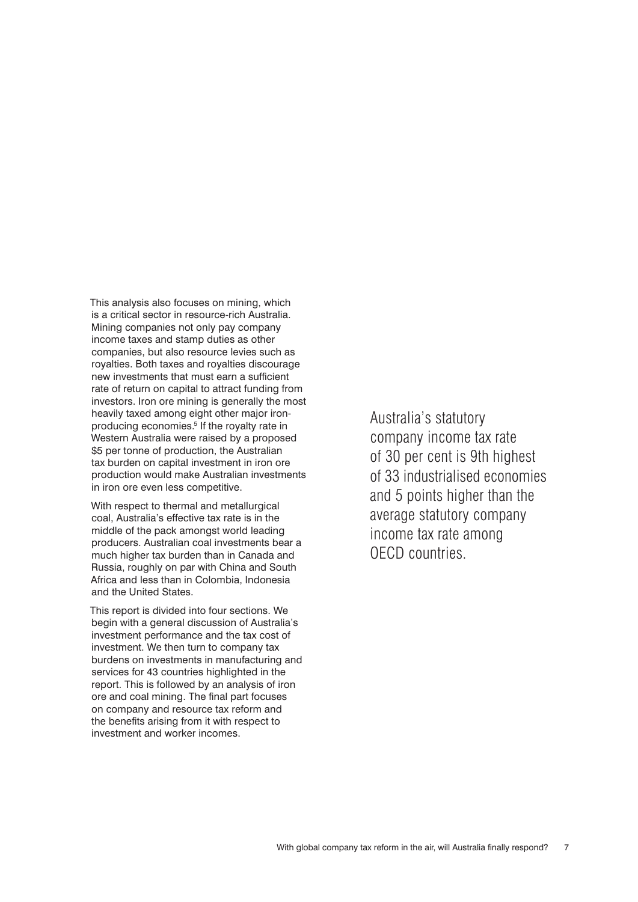This analysis also focuses on mining, which is a critical sector in resource-rich Australia. Mining companies not only pay company income taxes and stamp duties as other companies, but also resource levies such as royalties. Both taxes and royalties discourage new investments that must earn a sufficient rate of return on capital to attract funding from investors. Iron ore mining is generally the most heavily taxed among eight other major ironproducing economies.<sup>5</sup> If the royalty rate in Western Australia were raised by a proposed \$5 per tonne of production, the Australian tax burden on capital investment in iron ore production would make Australian investments in iron ore even less competitive.

With respect to thermal and metallurgical coal, Australia's effective tax rate is in the middle of the pack amongst world leading producers. Australian coal investments bear a much higher tax burden than in Canada and Russia, roughly on par with China and South Africa and less than in Colombia, Indonesia and the United States.

This report is divided into four sections. We begin with a general discussion of Australia's investment performance and the tax cost of investment. We then turn to company tax burdens on investments in manufacturing and services for 43 countries highlighted in the report. This is followed by an analysis of iron ore and coal mining. The final part focuses on company and resource tax reform and the benefits arising from it with respect to investment and worker incomes.

Australia's statutory company income tax rate of 30 per cent is 9th highest of 33 industrialised economies and 5 points higher than the average statutory company income tax rate among OECD countries.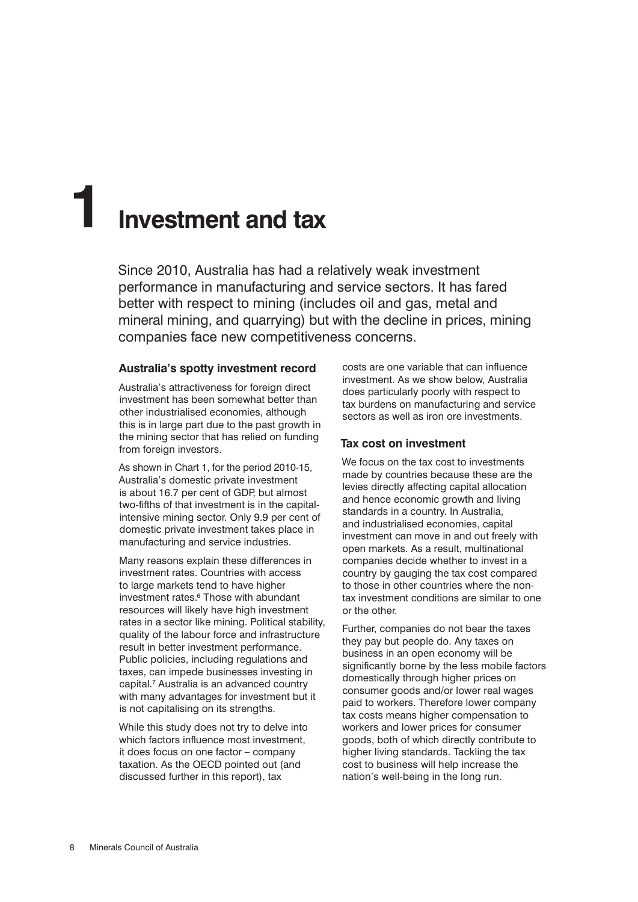## **1 Investment and tax**

Since 2010, Australia has had a relatively weak investment performance in manufacturing and service sectors. It has fared better with respect to mining (includes oil and gas, metal and mineral mining, and quarrying) but with the decline in prices, mining companies face new competitiveness concerns.

#### **Australia's spotty investment record**

Australia's attractiveness for foreign direct investment has been somewhat better than other industrialised economies, although this is in large part due to the past growth in the mining sector that has relied on funding from foreign investors.

As shown in Chart 1, for the period 2010-15, Australia's domestic private investment is about 16.7 per cent of GDP, but almost two-fifths of that investment is in the capitalintensive mining sector. Only 9.9 per cent of domestic private investment takes place in manufacturing and service industries.

Many reasons explain these differences in investment rates. Countries with access to large markets tend to have higher investment rates.<sup>6</sup> Those with abundant resources will likely have high investment rates in a sector like mining. Political stability, quality of the labour force and infrastructure result in better investment performance. Public policies, including regulations and taxes, can impede businesses investing in capital.7 Australia is an advanced country with many advantages for investment but it is not capitalising on its strengths.

While this study does not try to delve into which factors influence most investment, it does focus on one factor – company taxation. As the OECD pointed out (and discussed further in this report), tax

costs are one variable that can influence investment. As we show below, Australia does particularly poorly with respect to tax burdens on manufacturing and service sectors as well as iron ore investments.

#### **Tax cost on investment**

We focus on the tax cost to investments made by countries because these are the levies directly affecting capital allocation and hence economic growth and living standards in a country. In Australia, and industrialised economies, capital investment can move in and out freely with open markets. As a result, multinational companies decide whether to invest in a country by gauging the tax cost compared to those in other countries where the nontax investment conditions are similar to one or the other.

Further, companies do not bear the taxes they pay but people do. Any taxes on business in an open economy will be significantly borne by the less mobile factors domestically through higher prices on consumer goods and/or lower real wages paid to workers. Therefore lower company tax costs means higher compensation to workers and lower prices for consumer goods, both of which directly contribute to higher living standards. Tackling the tax cost to business will help increase the nation's well-being in the long run.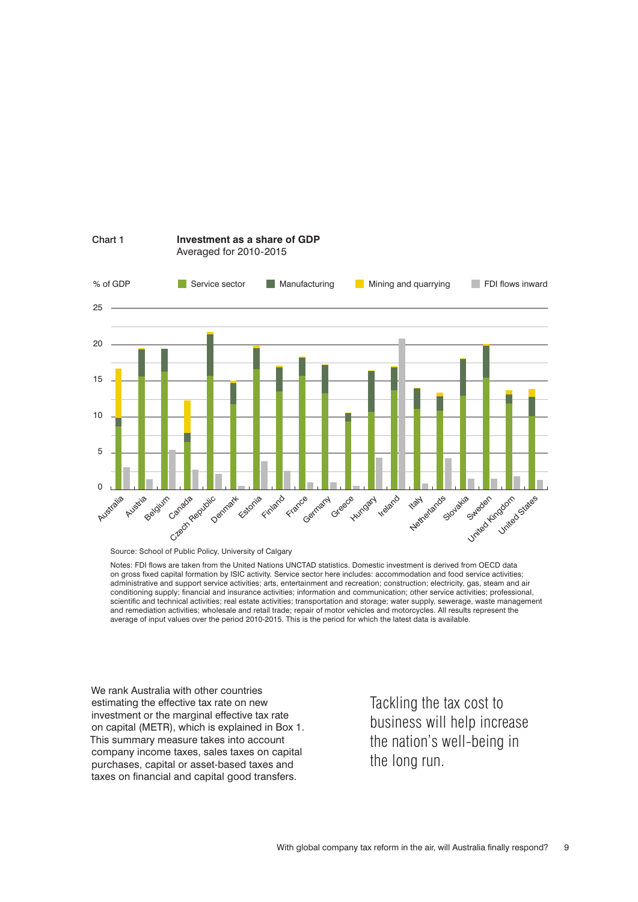

#### Chart 1 **Investment as a share of GDP** Averaged for 2010-2015

Notes: FDI flows are taken from the United Nations UNCTAD statistics. Domestic investment is derived from OECD data on gross fixed capital formation by ISIC activity. Service sector here includes: accommodation and food service activities; administrative and support service activities; arts, entertainment and recreation; construction; electricity, gas, steam and air conditioning supply; financial and insurance activities; information and communication; other service activities; professional, scientific and technical activities; real estate activities; transportation and storage; water supply, sewerage, waste management and remediation activities; wholesale and retail trade; repair of motor vehicles and motorcycles. All results represent the average of input values over the period 2010-2015. This is the period for which the latest data is available.

We rank Australia with other countries estimating the effective tax rate on new investment or the marginal effective tax rate on capital (METR), which is explained in Box 1. This summary measure takes into account company income taxes, sales taxes on capital purchases, capital or asset-based taxes and taxes on financial and capital good transfers.

Tackling the tax cost to business will help increase the nation's well-being in the long run.

Source: School of Public Policy, University of Calgary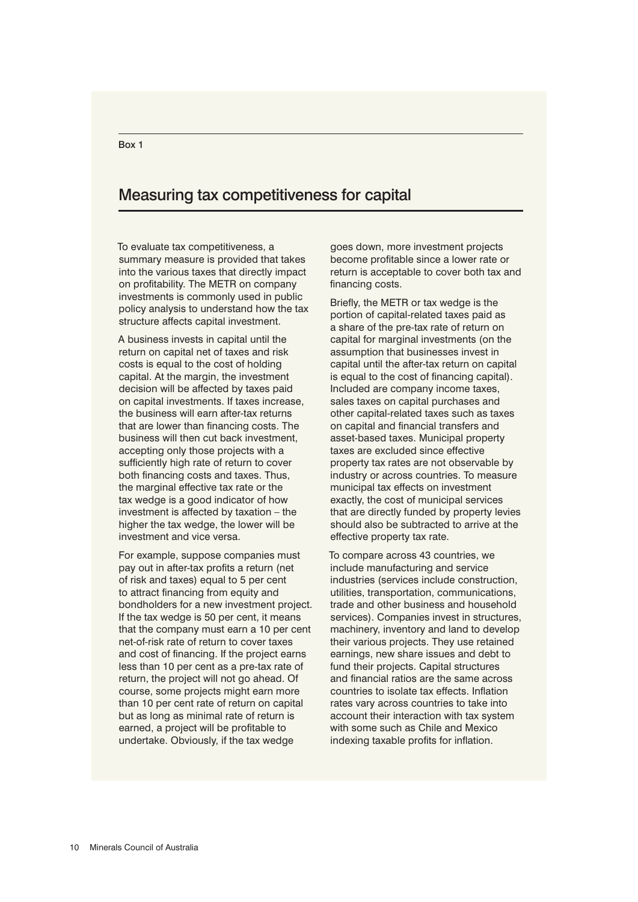#### Measuring tax competitiveness for capital

To evaluate tax competitiveness, a summary measure is provided that takes into the various taxes that directly impact on profitability. The METR on company investments is commonly used in public policy analysis to understand how the tax structure affects capital investment.

A business invests in capital until the return on capital net of taxes and risk costs is equal to the cost of holding capital. At the margin, the investment decision will be affected by taxes paid on capital investments. If taxes increase, the business will earn after-tax returns that are lower than financing costs. The business will then cut back investment, accepting only those projects with a sufficiently high rate of return to cover both financing costs and taxes. Thus, the marginal effective tax rate or the tax wedge is a good indicator of how investment is affected by taxation – the higher the tax wedge, the lower will be investment and vice versa.

For example, suppose companies must pay out in after-tax profits a return (net of risk and taxes) equal to 5 per cent to attract financing from equity and bondholders for a new investment project. If the tax wedge is 50 per cent, it means that the company must earn a 10 per cent net-of-risk rate of return to cover taxes and cost of financing. If the project earns less than 10 per cent as a pre-tax rate of return, the project will not go ahead. Of course, some projects might earn more than 10 per cent rate of return on capital but as long as minimal rate of return is earned, a project will be profitable to undertake. Obviously, if the tax wedge

goes down, more investment projects become profitable since a lower rate or return is acceptable to cover both tax and financing costs.

Briefly, the METR or tax wedge is the portion of capital-related taxes paid as a share of the pre-tax rate of return on capital for marginal investments (on the assumption that businesses invest in capital until the after-tax return on capital is equal to the cost of financing capital). Included are company income taxes, sales taxes on capital purchases and other capital-related taxes such as taxes on capital and financial transfers and asset-based taxes. Municipal property taxes are excluded since effective property tax rates are not observable by industry or across countries. To measure municipal tax effects on investment exactly, the cost of municipal services that are directly funded by property levies should also be subtracted to arrive at the effective property tax rate.

To compare across 43 countries, we include manufacturing and service industries (services include construction, utilities, transportation, communications, trade and other business and household services). Companies invest in structures, machinery, inventory and land to develop their various projects. They use retained earnings, new share issues and debt to fund their projects. Capital structures and financial ratios are the same across countries to isolate tax effects. Inflation rates vary across countries to take into account their interaction with tax system with some such as Chile and Mexico indexing taxable profits for inflation.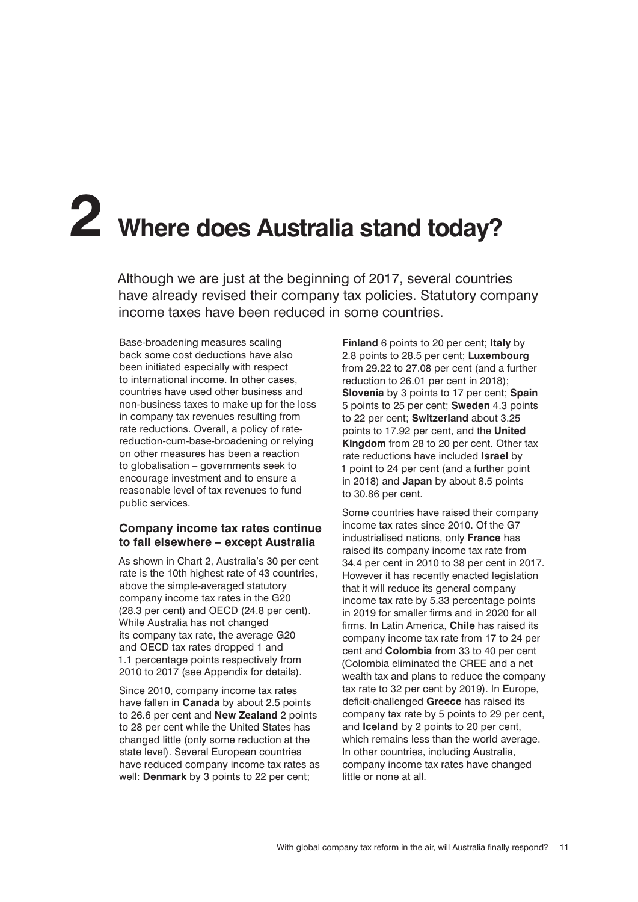# **2 Where does Australia stand today?**

Although we are just at the beginning of 2017, several countries have already revised their company tax policies. Statutory company income taxes have been reduced in some countries.

Base-broadening measures scaling back some cost deductions have also been initiated especially with respect to international income. In other cases, countries have used other business and non-business taxes to make up for the loss in company tax revenues resulting from rate reductions. Overall, a policy of ratereduction-cum-base-broadening or relying on other measures has been a reaction to globalisation – governments seek to encourage investment and to ensure a reasonable level of tax revenues to fund public services.

#### **Company income tax rates continue to fall elsewhere – except Australia**

As shown in Chart 2, Australia's 30 per cent rate is the 10th highest rate of 43 countries, above the simple-averaged statutory company income tax rates in the G20 (28.3 per cent) and OECD (24.8 per cent). While Australia has not changed its company tax rate, the average G20 and OECD tax rates dropped 1 and 1.1 percentage points respectively from 2010 to 2017 (see Appendix for details).

Since 2010, company income tax rates have fallen in **Canada** by about 2.5 points to 26.6 per cent and **New Zealand** 2 points to 28 per cent while the United States has changed little (only some reduction at the state level). Several European countries have reduced company income tax rates as well: **Denmark** by 3 points to 22 per cent;

**Finland** 6 points to 20 per cent; **Italy** by 2.8 points to 28.5 per cent; **Luxembourg** from 29.22 to 27.08 per cent (and a further reduction to 26.01 per cent in 2018); **Slovenia** by 3 points to 17 per cent; **Spain** 5 points to 25 per cent; **Sweden** 4.3 points to 22 per cent; **Switzerland** about 3.25 points to 17.92 per cent, and the **United Kingdom** from 28 to 20 per cent. Other tax rate reductions have included **Israel** by 1 point to 24 per cent (and a further point in 2018) and **Japan** by about 8.5 points to 30.86 per cent.

Some countries have raised their company income tax rates since 2010. Of the G7 industrialised nations, only **France** has raised its company income tax rate from 34.4 per cent in 2010 to 38 per cent in 2017. However it has recently enacted legislation that it will reduce its general company income tax rate by 5.33 percentage points in 2019 for smaller firms and in 2020 for all firms. In Latin America, **Chile** has raised its company income tax rate from 17 to 24 per cent and **Colombia** from 33 to 40 per cent (Colombia eliminated the CREE and a net wealth tax and plans to reduce the company tax rate to 32 per cent by 2019). In Europe, deficit-challenged **Greece** has raised its company tax rate by 5 points to 29 per cent, and **Iceland** by 2 points to 20 per cent, which remains less than the world average. In other countries, including Australia, company income tax rates have changed little or none at all.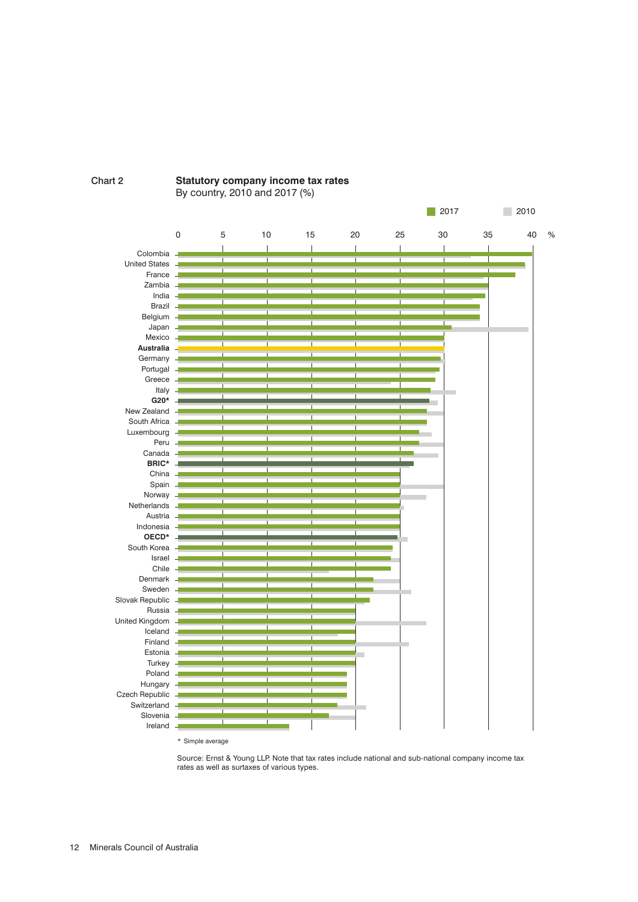



By country, 2010 and 2017 (%)

Source: Ernst & Young LLP. Note that tax rates include national and sub-national company income tax rates as well as surtaxes of various types.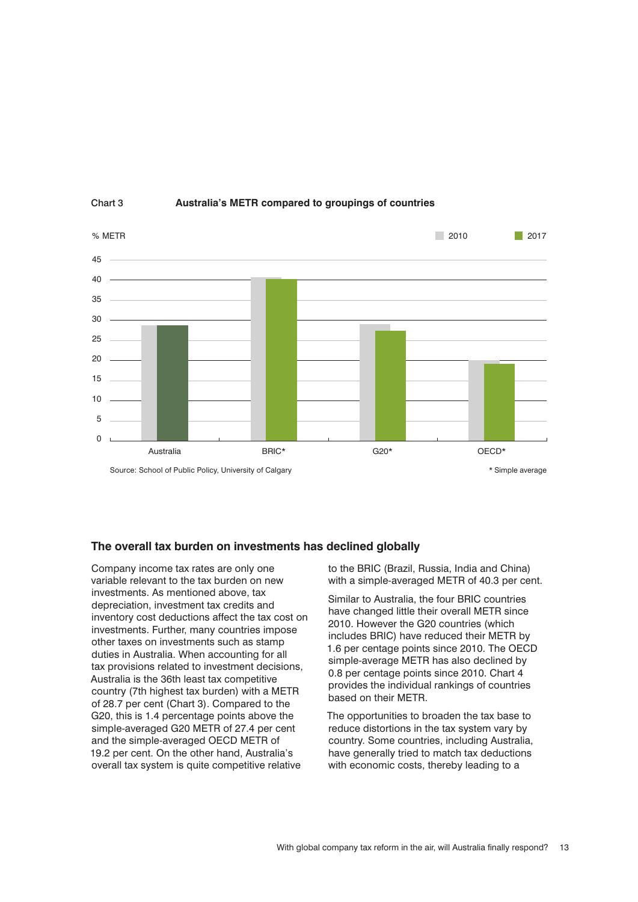

#### Chart 3 **Australia's METR compared to groupings of countries**

#### **The overall tax burden on investments has declined globally**

Company income tax rates are only one variable relevant to the tax burden on new investments. As mentioned above, tax depreciation, investment tax credits and inventory cost deductions affect the tax cost on investments. Further, many countries impose other taxes on investments such as stamp duties in Australia. When accounting for all tax provisions related to investment decisions, Australia is the 36th least tax competitive country (7th highest tax burden) with a METR of 28.7 per cent (Chart 3). Compared to the G20, this is 1.4 percentage points above the simple-averaged G20 METR of 27.4 per cent and the simple-averaged OECD METR of 19.2 per cent. On the other hand, Australia's overall tax system is quite competitive relative

to the BRIC (Brazil, Russia, India and China) with a simple-averaged METR of 40.3 per cent.

Similar to Australia, the four BRIC countries have changed little their overall METR since 2010. However the G20 countries (which includes BRIC) have reduced their METR by 1.6 per centage points since 2010. The OECD simple-average METR has also declined by 0.8 per centage points since 2010. Chart 4 provides the individual rankings of countries based on their METR.

The opportunities to broaden the tax base to reduce distortions in the tax system vary by country. Some countries, including Australia, have generally tried to match tax deductions with economic costs, thereby leading to a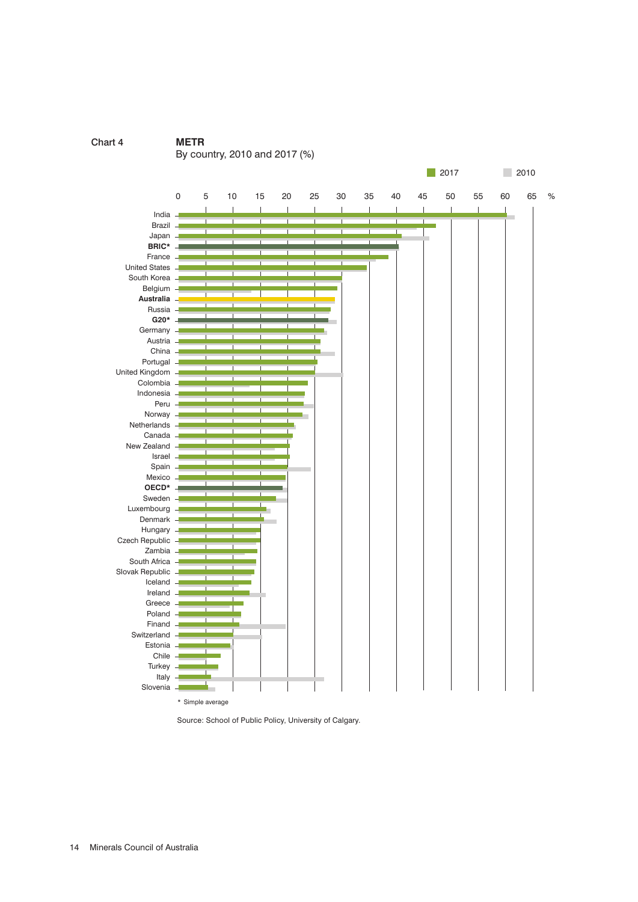

Source: School of Public Policy, University of Calgary.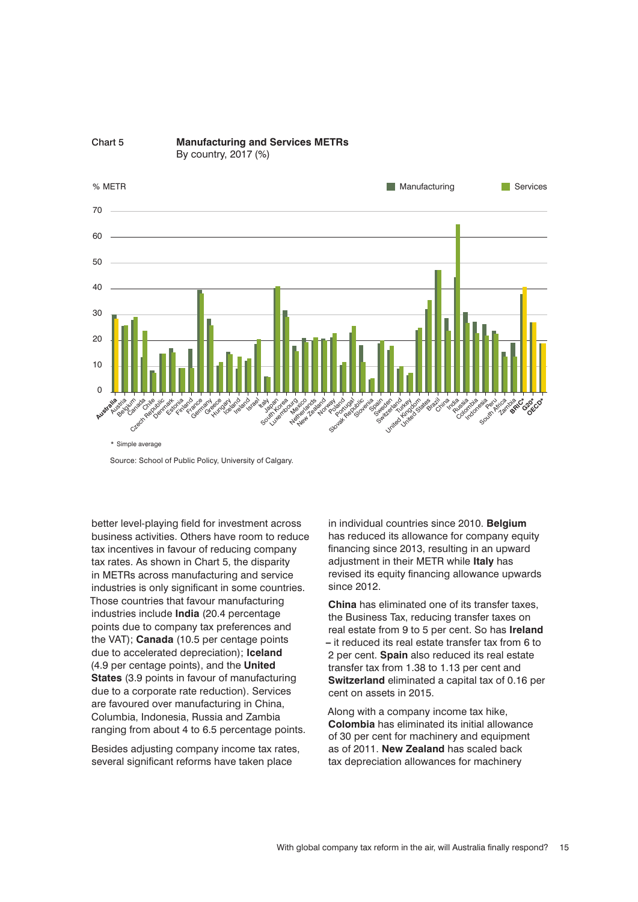

Source: School of Public Policy, University of Calgary.

better level-playing field for investment across business activities. Others have room to reduce tax incentives in favour of reducing company tax rates. As shown in Chart 5, the disparity in METRs across manufacturing and service industries is only significant in some countries. Those countries that favour manufacturing industries include **India** (20.4 percentage points due to company tax preferences and the VAT); **Canada** (10.5 per centage points due to accelerated depreciation); **Iceland** (4.9 per centage points), and the **United States** (3.9 points in favour of manufacturing due to a corporate rate reduction). Services are favoured over manufacturing in China, Columbia, Indonesia, Russia and Zambia ranging from about 4 to 6.5 percentage points.

Besides adjusting company income tax rates, several significant reforms have taken place

in individual countries since 2010. **Belgium** has reduced its allowance for company equity financing since 2013, resulting in an upward adjustment in their METR while **Italy** has revised its equity financing allowance upwards since 2012.

**China** has eliminated one of its transfer taxes, the Business Tax, reducing transfer taxes on real estate from 9 to 5 per cent. So has **Ireland –** it reduced its real estate transfer tax from 6 to 2 per cent. **Spain** also reduced its real estate transfer tax from 1.38 to 1.13 per cent and **Switzerland** eliminated a capital tax of 0.16 per cent on assets in 2015.

Along with a company income tax hike, **Colombia** has eliminated its initial allowance of 30 per cent for machinery and equipment as of 2011. **New Zealand** has scaled back tax depreciation allowances for machinery

With global company tax reform in the air, will Australia finally respond? 15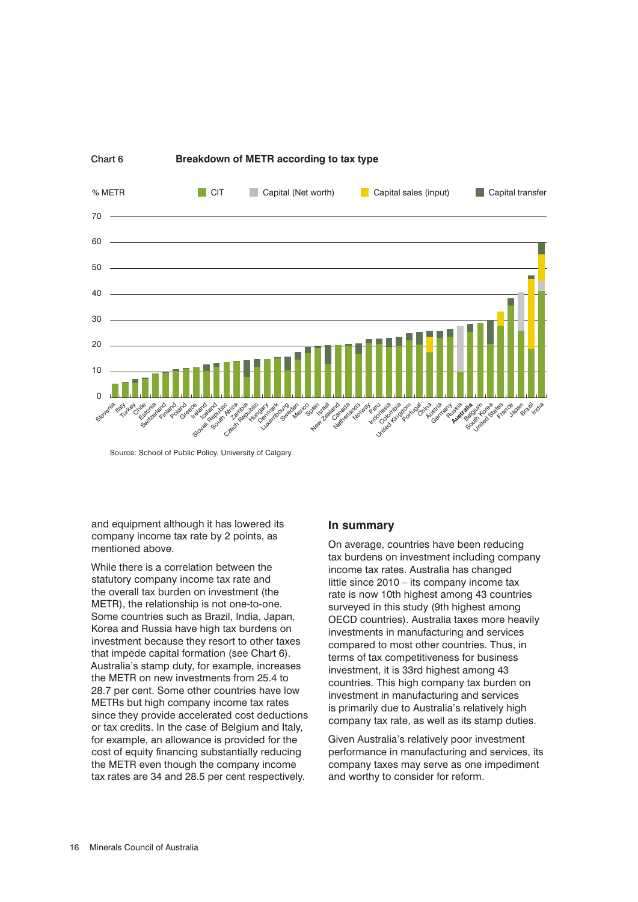

Source: School of Public Policy, University of Calgary.

and equipment although it has lowered its company income tax rate by 2 points, as mentioned above.

While there is a correlation between the statutory company income tax rate and the overall tax burden on investment (the METR), the relationship is not one-to-one. Some countries such as Brazil, India, Japan, Korea and Russia have high tax burdens on investment because they resort to other taxes that impede capital formation (see Chart 6). Australia's stamp duty, for example, increases the METR on new investments from 25.4 to 28.7 per cent. Some other countries have low METRs but high company income tax rates since they provide accelerated cost deductions or tax credits. In the case of Belgium and Italy, for example, an allowance is provided for the cost of equity financing substantially reducing the METR even though the company income tax rates are 34 and 28.5 per cent respectively.

#### **In summary**

On average, countries have been reducing tax burdens on investment including company income tax rates. Australia has changed little since 2010 – its company income tax rate is now 10th highest among 43 countries surveyed in this study (9th highest among OECD countries). Australia taxes more heavily investments in manufacturing and services compared to most other countries. Thus, in terms of tax competitiveness for business investment, it is 33rd highest among 43 countries. This high company tax burden on investment in manufacturing and services is primarily due to Australia's relatively high company tax rate, as well as its stamp duties.

Given Australia's relatively poor investment performance in manufacturing and services, its company taxes may serve as one impediment and worthy to consider for reform.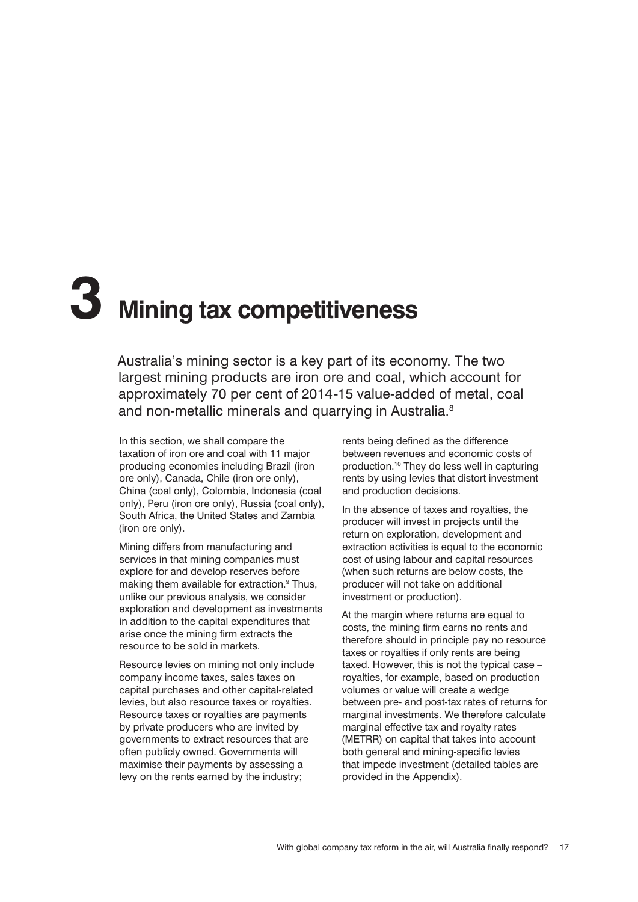## **3 Mining tax competitiveness**

Australia's mining sector is a key part of its economy. The two largest mining products are iron ore and coal, which account for approximately 70 per cent of 2014-15 value-added of metal, coal and non-metallic minerals and quarrying in Australia.<sup>8</sup>

In this section, we shall compare the taxation of iron ore and coal with 11 major producing economies including Brazil (iron ore only), Canada, Chile (iron ore only), China (coal only), Colombia, Indonesia (coal only), Peru (iron ore only), Russia (coal only), South Africa, the United States and Zambia (iron ore only).

Mining differs from manufacturing and services in that mining companies must explore for and develop reserves before making them available for extraction.<sup>9</sup> Thus, unlike our previous analysis, we consider exploration and development as investments in addition to the capital expenditures that arise once the mining firm extracts the resource to be sold in markets.

Resource levies on mining not only include company income taxes, sales taxes on capital purchases and other capital-related levies, but also resource taxes or royalties. Resource taxes or royalties are payments by private producers who are invited by governments to extract resources that are often publicly owned. Governments will maximise their payments by assessing a levy on the rents earned by the industry;

rents being defined as the difference between revenues and economic costs of production.10 They do less well in capturing rents by using levies that distort investment and production decisions.

In the absence of taxes and royalties, the producer will invest in projects until the return on exploration, development and extraction activities is equal to the economic cost of using labour and capital resources (when such returns are below costs, the producer will not take on additional investment or production).

At the margin where returns are equal to costs, the mining firm earns no rents and therefore should in principle pay no resource taxes or royalties if only rents are being taxed. However, this is not the typical case – royalties, for example, based on production volumes or value will create a wedge between pre- and post-tax rates of returns for marginal investments. We therefore calculate marginal effective tax and royalty rates (METRR) on capital that takes into account both general and mining-specific levies that impede investment (detailed tables are provided in the Appendix).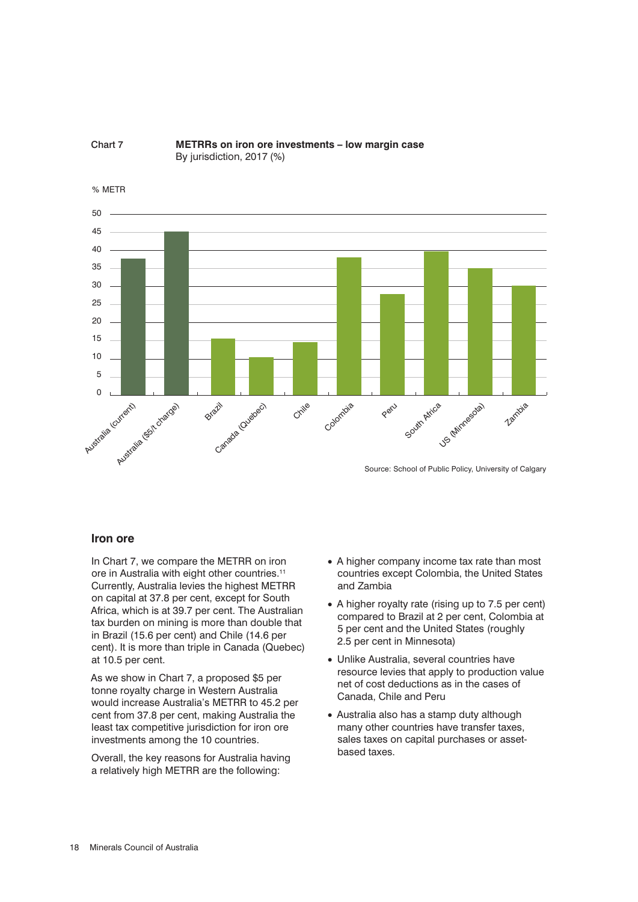



Source: School of Public Policy, University of Calgary

#### **Iron ore**

In Chart 7, we compare the METRR on iron ore in Australia with eight other countries.11 Currently, Australia levies the highest METRR on capital at 37.8 per cent, except for South Africa, which is at 39.7 per cent. The Australian tax burden on mining is more than double that in Brazil (15.6 per cent) and Chile (14.6 per cent). It is more than triple in Canada (Quebec) at 10.5 per cent.

As we show in Chart 7, a proposed \$5 per tonne royalty charge in Western Australia would increase Australia's METRR to 45.2 per cent from 37.8 per cent, making Australia the least tax competitive jurisdiction for iron ore investments among the 10 countries.

Overall, the key reasons for Australia having a relatively high METRR are the following:

- A higher company income tax rate than most countries except Colombia, the United States and Zambia
- A higher royalty rate (rising up to 7.5 per cent) compared to Brazil at 2 per cent, Colombia at 5 per cent and the United States (roughly 2.5 per cent in Minnesota)
- Unlike Australia, several countries have resource levies that apply to production value net of cost deductions as in the cases of Canada, Chile and Peru
- Australia also has a stamp duty although many other countries have transfer taxes, sales taxes on capital purchases or assetbased taxes.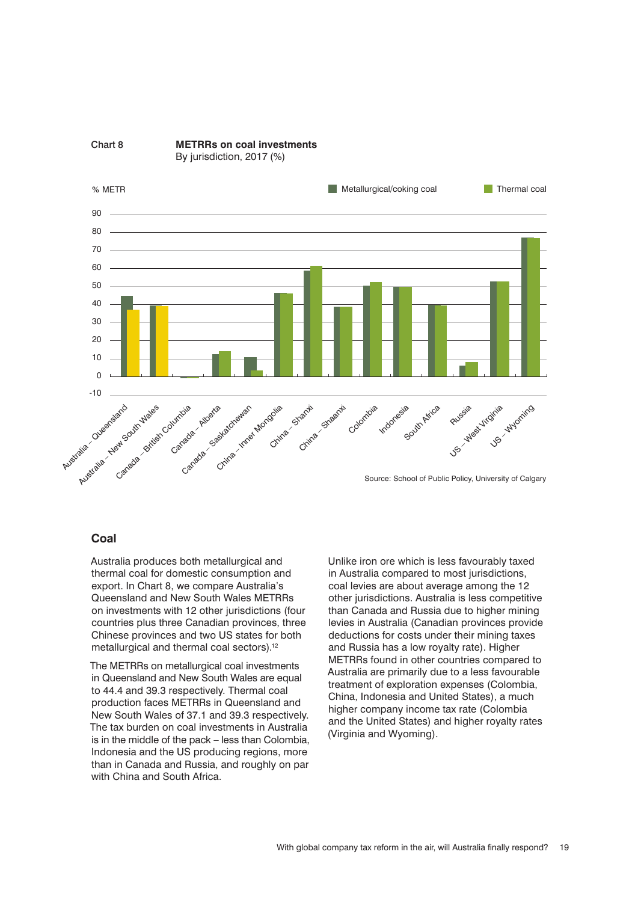

#### **Coal**

Australia produces both metallurgical and thermal coal for domestic consumption and export. In Chart 8, we compare Australia's Queensland and New South Wales METRRs on investments with 12 other jurisdictions (four countries plus three Canadian provinces, three Chinese provinces and two US states for both metallurgical and thermal coal sectors).<sup>12</sup>

The METRRs on metallurgical coal investments in Queensland and New South Wales are equal to 44.4 and 39.3 respectively. Thermal coal production faces METRRs in Queensland and New South Wales of 37.1 and 39.3 respectively. The tax burden on coal investments in Australia is in the middle of the pack – less than Colombia, Indonesia and the US producing regions, more than in Canada and Russia, and roughly on par with China and South Africa.

Unlike iron ore which is less favourably taxed in Australia compared to most jurisdictions, coal levies are about average among the 12 other jurisdictions. Australia is less competitive than Canada and Russia due to higher mining levies in Australia (Canadian provinces provide deductions for costs under their mining taxes and Russia has a low royalty rate). Higher METRRs found in other countries compared to Australia are primarily due to a less favourable treatment of exploration expenses (Colombia, China, Indonesia and United States), a much higher company income tax rate (Colombia and the United States) and higher royalty rates (Virginia and Wyoming).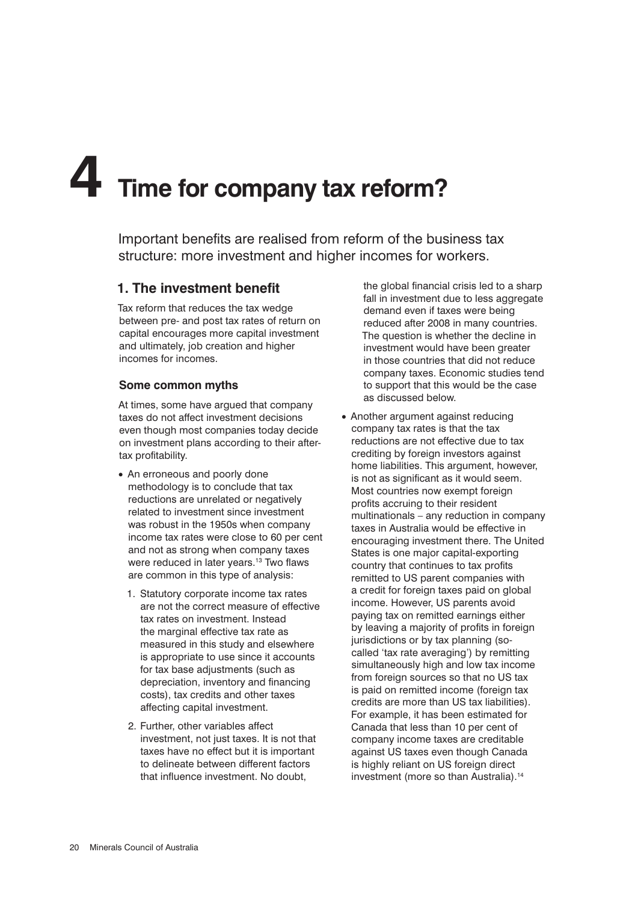# **4 Time for company tax reform?**

Important benefits are realised from reform of the business tax structure: more investment and higher incomes for workers.

#### **1. The investment benefit**

Tax reform that reduces the tax wedge between pre- and post tax rates of return on capital encourages more capital investment and ultimately, job creation and higher incomes for incomes.

#### **Some common myths**

At times, some have argued that company taxes do not affect investment decisions even though most companies today decide on investment plans according to their aftertax profitability.

- An erroneous and poorly done methodology is to conclude that tax reductions are unrelated or negatively related to investment since investment was robust in the 1950s when company income tax rates were close to 60 per cent and not as strong when company taxes were reduced in later years.<sup>13</sup> Two flaws are common in this type of analysis:
	- 1. Statutory corporate income tax rates are not the correct measure of effective tax rates on investment. Instead the marginal effective tax rate as measured in this study and elsewhere is appropriate to use since it accounts for tax base adjustments (such as depreciation, inventory and financing costs), tax credits and other taxes affecting capital investment.
	- 2. Further, other variables affect investment, not just taxes. It is not that taxes have no effect but it is important to delineate between different factors that influence investment. No doubt,

the global financial crisis led to a sharp fall in investment due to less aggregate demand even if taxes were being reduced after 2008 in many countries. The question is whether the decline in investment would have been greater in those countries that did not reduce company taxes. Economic studies tend to support that this would be the case as discussed below.

• Another argument against reducing company tax rates is that the tax reductions are not effective due to tax crediting by foreign investors against home liabilities. This argument, however, is not as significant as it would seem. Most countries now exempt foreign profits accruing to their resident multinationals – any reduction in company taxes in Australia would be effective in encouraging investment there. The United States is one major capital-exporting country that continues to tax profits remitted to US parent companies with a credit for foreign taxes paid on global income. However, US parents avoid paying tax on remitted earnings either by leaving a majority of profits in foreign jurisdictions or by tax planning (socalled 'tax rate averaging') by remitting simultaneously high and low tax income from foreign sources so that no US tax is paid on remitted income (foreign tax credits are more than US tax liabilities). For example, it has been estimated for Canada that less than 10 per cent of company income taxes are creditable against US taxes even though Canada is highly reliant on US foreign direct investment (more so than Australia).<sup>14</sup>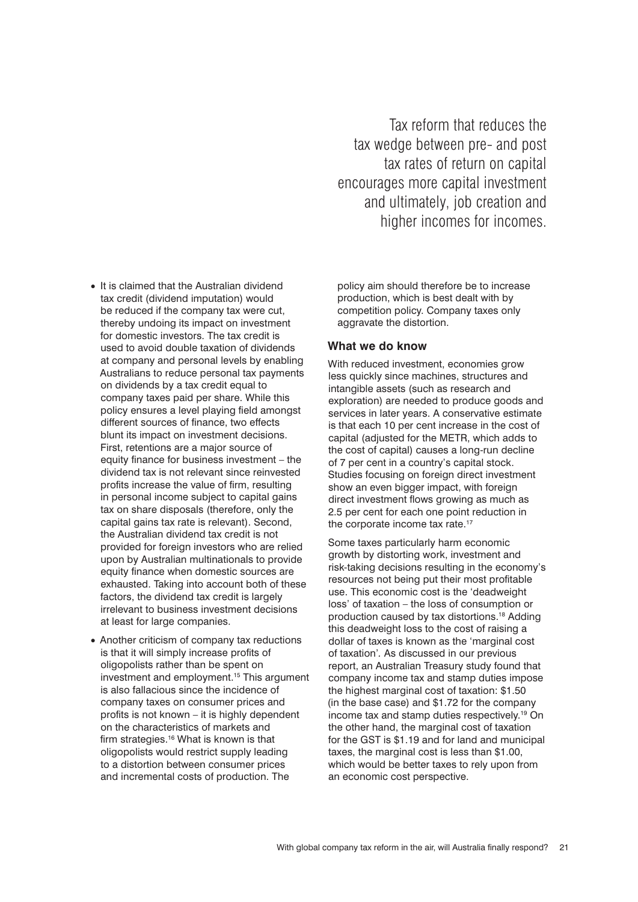Tax reform that reduces the tax wedge between pre- and post tax rates of return on capital encourages more capital investment and ultimately, job creation and higher incomes for incomes.

- It is claimed that the Australian dividend tax credit (dividend imputation) would be reduced if the company tax were cut, thereby undoing its impact on investment for domestic investors. The tax credit is used to avoid double taxation of dividends at company and personal levels by enabling Australians to reduce personal tax payments on dividends by a tax credit equal to company taxes paid per share. While this policy ensures a level playing field amongst different sources of finance, two effects blunt its impact on investment decisions. First, retentions are a major source of equity finance for business investment – the dividend tax is not relevant since reinvested profits increase the value of firm, resulting in personal income subject to capital gains tax on share disposals (therefore, only the capital gains tax rate is relevant). Second, the Australian dividend tax credit is not provided for foreign investors who are relied upon by Australian multinationals to provide equity finance when domestic sources are exhausted. Taking into account both of these factors, the dividend tax credit is largely irrelevant to business investment decisions at least for large companies.
- Another criticism of company tax reductions is that it will simply increase profits of oligopolists rather than be spent on investment and employment.15 This argument is also fallacious since the incidence of company taxes on consumer prices and profits is not known – it is highly dependent on the characteristics of markets and firm strategies.<sup>16</sup> What is known is that oligopolists would restrict supply leading to a distortion between consumer prices and incremental costs of production. The

policy aim should therefore be to increase production, which is best dealt with by competition policy. Company taxes only aggravate the distortion.

#### **What we do know**

With reduced investment, economies grow less quickly since machines, structures and intangible assets (such as research and exploration) are needed to produce goods and services in later years. A conservative estimate is that each 10 per cent increase in the cost of capital (adjusted for the METR, which adds to the cost of capital) causes a long-run decline of 7 per cent in a country's capital stock. Studies focusing on foreign direct investment show an even bigger impact, with foreign direct investment flows growing as much as 2.5 per cent for each one point reduction in the corporate income tax rate.<sup>17</sup>

Some taxes particularly harm economic growth by distorting work, investment and risk-taking decisions resulting in the economy's resources not being put their most profitable use. This economic cost is the 'deadweight loss' of taxation – the loss of consumption or production caused by tax distortions.18 Adding this deadweight loss to the cost of raising a dollar of taxes is known as the 'marginal cost of taxation'*.* As discussed in our previous report, an Australian Treasury study found that company income tax and stamp duties impose the highest marginal cost of taxation: \$1.50 (in the base case) and \$1.72 for the company income tax and stamp duties respectively.19 On the other hand, the marginal cost of taxation for the GST is \$1.19 and for land and municipal taxes, the marginal cost is less than \$1.00, which would be better taxes to rely upon from an economic cost perspective.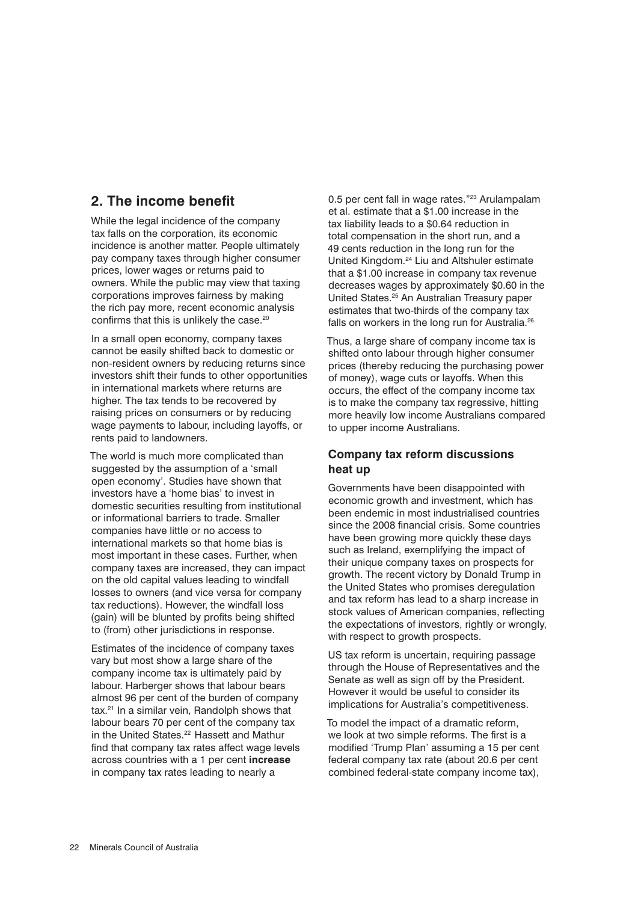#### **2. The income benefit**

While the legal incidence of the company tax falls on the corporation, its economic incidence is another matter. People ultimately pay company taxes through higher consumer prices, lower wages or returns paid to owners. While the public may view that taxing corporations improves fairness by making the rich pay more, recent economic analysis confirms that this is unlikely the case.<sup>20</sup>

In a small open economy, company taxes cannot be easily shifted back to domestic or non-resident owners by reducing returns since investors shift their funds to other opportunities in international markets where returns are higher. The tax tends to be recovered by raising prices on consumers or by reducing wage payments to labour, including layoffs, or rents paid to landowners.

The world is much more complicated than suggested by the assumption of a 'small open economy'. Studies have shown that investors have a 'home bias' to invest in domestic securities resulting from institutional or informational barriers to trade. Smaller companies have little or no access to international markets so that home bias is most important in these cases. Further, when company taxes are increased, they can impact on the old capital values leading to windfall losses to owners (and vice versa for company tax reductions). However, the windfall loss (gain) will be blunted by profits being shifted to (from) other jurisdictions in response.

Estimates of the incidence of company taxes vary but most show a large share of the company income tax is ultimately paid by labour. Harberger shows that labour bears almost 96 per cent of the burden of company tax.21 In a similar vein, Randolph shows that labour bears 70 per cent of the company tax in the United States.<sup>22</sup> Hassett and Mathur find that company tax rates affect wage levels across countries with a 1 per cent **increase** in company tax rates leading to nearly a

0.5 per cent fall in wage rates."<sup>23</sup> Arulampalam et al. estimate that a \$1.00 increase in the tax liability leads to a \$0.64 reduction in total compensation in the short run, and a 49 cents reduction in the long run for the United Kingdom.24 Liu and Altshuler estimate that a \$1.00 increase in company tax revenue decreases wages by approximately \$0.60 in the United States.25 An Australian Treasury paper estimates that two-thirds of the company tax falls on workers in the long run for Australia.<sup>26</sup>

Thus, a large share of company income tax is shifted onto labour through higher consumer prices (thereby reducing the purchasing power of money), wage cuts or layoffs. When this occurs, the effect of the company income tax is to make the company tax regressive, hitting more heavily low income Australians compared to upper income Australians.

#### **Company tax reform discussions heat up**

Governments have been disappointed with economic growth and investment, which has been endemic in most industrialised countries since the 2008 financial crisis. Some countries have been growing more quickly these days such as Ireland, exemplifying the impact of their unique company taxes on prospects for growth. The recent victory by Donald Trump in the United States who promises deregulation and tax reform has lead to a sharp increase in stock values of American companies, reflecting the expectations of investors, rightly or wrongly, with respect to growth prospects.

US tax reform is uncertain, requiring passage through the House of Representatives and the Senate as well as sign off by the President. However it would be useful to consider its implications for Australia's competitiveness.

To model the impact of a dramatic reform, we look at two simple reforms. The first is a modified 'Trump Plan' assuming a 15 per cent federal company tax rate (about 20.6 per cent combined federal-state company income tax),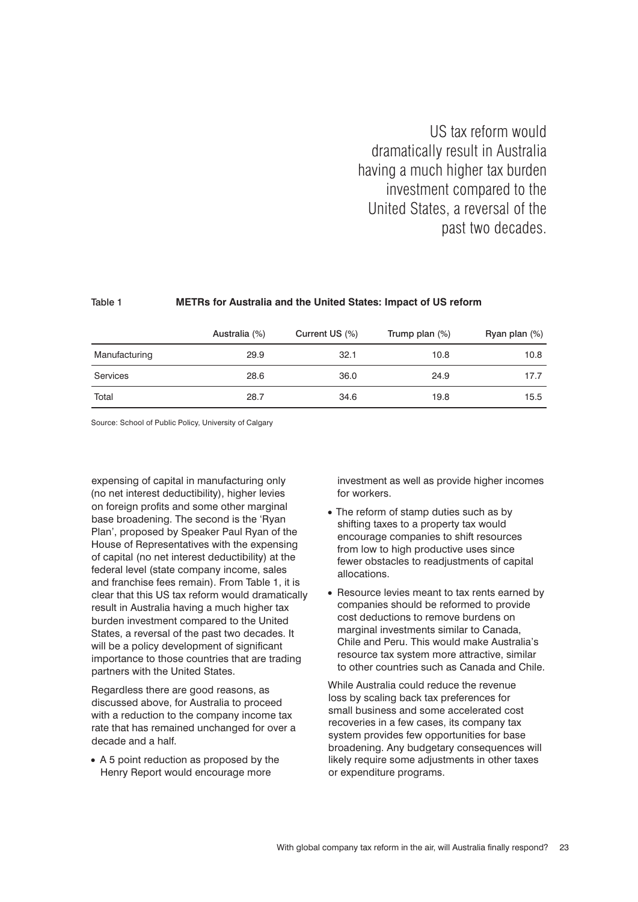US tax reform would dramatically result in Australia having a much higher tax burden investment compared to the United States, a reversal of the past two decades.

#### Table 1 **METRs for Australia and the United States: Impact of US reform**

|               | Australia (%) | Current US (%) | Trump plan $(\%)$ | Ryan plan (%) |
|---------------|---------------|----------------|-------------------|---------------|
| Manufacturing | 29.9          | 32.1           | 10.8              | 10.8          |
| Services      | 28.6          | 36.0           | 24.9              | 17.7          |
| Total         | 28.7          | 34.6           | 19.8              | 15.5          |

Source: School of Public Policy, University of Calgary

expensing of capital in manufacturing only (no net interest deductibility), higher levies on foreign profits and some other marginal base broadening. The second is the 'Ryan Plan', proposed by Speaker Paul Ryan of the House of Representatives with the expensing of capital (no net interest deductibility) at the federal level (state company income, sales and franchise fees remain). From Table 1, it is clear that this US tax reform would dramatically result in Australia having a much higher tax burden investment compared to the United States, a reversal of the past two decades. It will be a policy development of significant importance to those countries that are trading partners with the United States.

Regardless there are good reasons, as discussed above, for Australia to proceed with a reduction to the company income tax rate that has remained unchanged for over a decade and a half.

• A 5 point reduction as proposed by the Henry Report would encourage more

investment as well as provide higher incomes for workers.

- The reform of stamp duties such as by shifting taxes to a property tax would encourage companies to shift resources from low to high productive uses since fewer obstacles to readjustments of capital allocations.
- Resource levies meant to tax rents earned by companies should be reformed to provide cost deductions to remove burdens on marginal investments similar to Canada, Chile and Peru. This would make Australia's resource tax system more attractive, similar to other countries such as Canada and Chile.

While Australia could reduce the revenue loss by scaling back tax preferences for small business and some accelerated cost recoveries in a few cases, its company tax system provides few opportunities for base broadening. Any budgetary consequences will likely require some adjustments in other taxes or expenditure programs.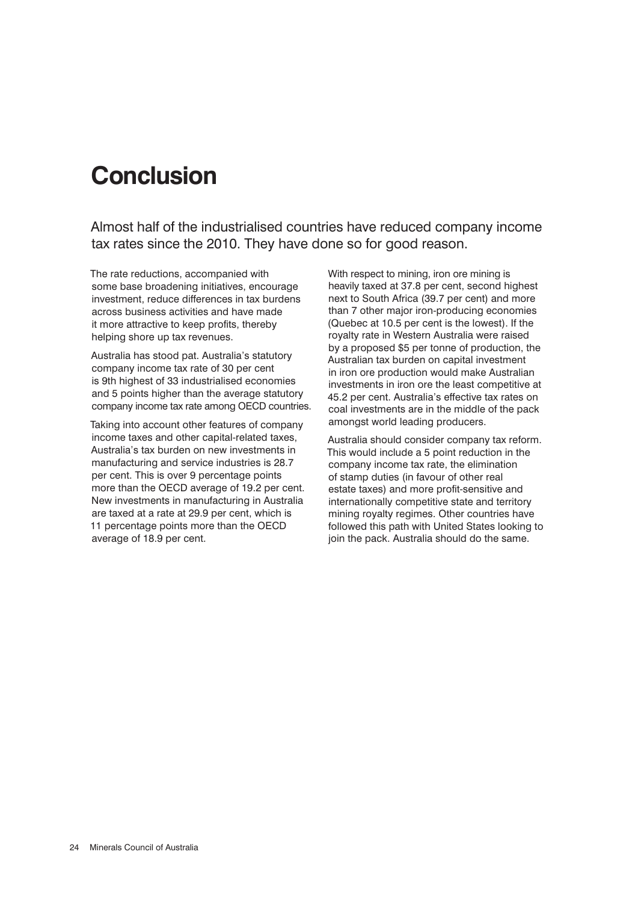## **Conclusion**

Almost half of the industrialised countries have reduced company income tax rates since the 2010. They have done so for good reason.

The rate reductions, accompanied with some base broadening initiatives, encourage investment, reduce differences in tax burdens across business activities and have made it more attractive to keep profits, thereby helping shore up tax revenues.

Australia has stood pat. Australia's statutory company income tax rate of 30 per cent is 9th highest of 33 industrialised economies and 5 points higher than the average statutory company income tax rate among OECD countries.

Taking into account other features of company income taxes and other capital-related taxes, Australia's tax burden on new investments in manufacturing and service industries is 28.7 per cent. This is over 9 percentage points more than the OECD average of 19.2 per cent. New investments in manufacturing in Australia are taxed at a rate at 29.9 per cent, which is 11 percentage points more than the OECD average of 18.9 per cent.

With respect to mining, iron ore mining is heavily taxed at 37.8 per cent, second highest next to South Africa (39.7 per cent) and more than 7 other major iron-producing economies (Quebec at 10.5 per cent is the lowest). If the royalty rate in Western Australia were raised by a proposed \$5 per tonne of production, the Australian tax burden on capital investment in iron ore production would make Australian investments in iron ore the least competitive at 45.2 per cent. Australia's effective tax rates on coal investments are in the middle of the pack amongst world leading producers.

Australia should consider company tax reform. This would include a 5 point reduction in the company income tax rate, the elimination of stamp duties (in favour of other real estate taxes) and more profit-sensitive and internationally competitive state and territory mining royalty regimes. Other countries have followed this path with United States looking to join the pack. Australia should do the same.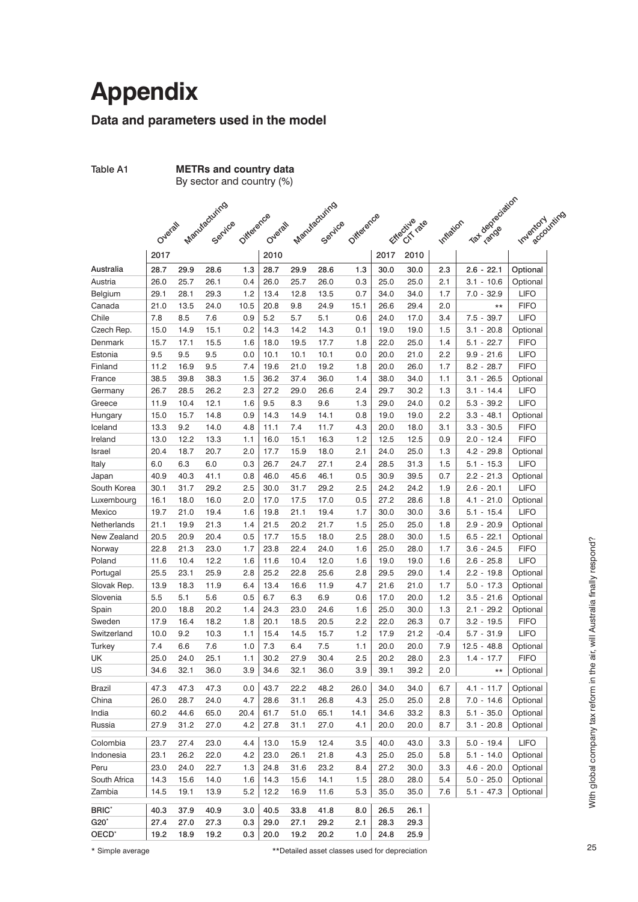## **Appendix**

#### **Data and parameters used in the model**

| Table A1<br><b>METRs and country data</b><br>By sector and country (%) |         |      |                             |      |      |      |                          |      |      |                |           |                  |                  |
|------------------------------------------------------------------------|---------|------|-----------------------------|------|------|------|--------------------------|------|------|----------------|-----------|------------------|------------------|
|                                                                        |         |      |                             |      |      |      |                          |      |      |                |           |                  |                  |
|                                                                        |         |      |                             |      |      |      |                          |      |      |                |           |                  |                  |
|                                                                        | Overall |      | Manufacturing Oidescreendal |      |      |      | Manufacturing Oifference |      |      | Etlective rate | Inflation | Taxabasa ciation | Inventory inting |
|                                                                        | 2017    |      |                             |      | 2010 |      |                          |      | 2017 | 2010           |           |                  |                  |
| Australia                                                              | 28.7    | 29.9 | 28.6                        | 1.3  | 28.7 | 29.9 | 28.6                     | 1.3  | 30.0 | 30.0           | 2.3       | $2.6 - 22.1$     | Optional         |
| Austria                                                                | 26.0    | 25.7 | 26.1                        | 0.4  | 26.0 | 25.7 | 26.0                     | 0.3  | 25.0 | 25.0           | 2.1       | $3.1 - 10.6$     | Optional         |
| Belgium                                                                | 29.1    | 28.1 | 29.3                        | 1.2  | 13.4 | 12.8 | 13.5                     | 0.7  | 34.0 | 34.0           | 1.7       | $7.0 - 32.9$     | <b>LIFO</b>      |
| Canada                                                                 | 21.0    | 13.5 | 24.0                        | 10.5 | 20.8 | 9.8  | 24.9                     | 15.1 | 26.6 | 29.4           | 2.0       | $***$            | <b>FIFO</b>      |
| Chile                                                                  | 7.8     | 8.5  | 7.6                         | 0.9  | 5.2  | 5.7  | 5.1                      | 0.6  | 24.0 | 17.0           | 3.4       | $7.5 - 39.7$     | <b>LIFO</b>      |
| Czech Rep.                                                             | 15.0    | 14.9 | 15.1                        | 0.2  | 14.3 | 14.2 | 14.3                     | 0.1  | 19.0 | 19.0           | 1.5       | $3.1 - 20.8$     | Optional         |
| Denmark                                                                | 15.7    | 17.1 | 15.5                        | 1.6  | 18.0 | 19.5 | 17.7                     | 1.8  | 22.0 | 25.0           | 1.4       | $5.1 - 22.7$     | <b>FIFO</b>      |
| Estonia                                                                | 9.5     | 9.5  | 9.5                         | 0.0  | 10.1 | 10.1 | 10.1                     | 0.0  | 20.0 | 21.0           | 2.2       | $9.9 - 21.6$     | <b>LIFO</b>      |
| Finland                                                                | 11.2    | 16.9 | 9.5                         | 7.4  | 19.6 | 21.0 | 19.2                     | 1.8  | 20.0 | 26.0           | 1.7       | $8.2 - 28.7$     | <b>FIFO</b>      |
| France                                                                 | 38.5    | 39.8 | 38.3                        | 1.5  | 36.2 | 37.4 | 36.0                     | 1.4  | 38.0 | 34.0           | 1.1       | $3.1 - 26.5$     | Optional         |
| Germany                                                                | 26.7    | 28.5 | 26.2                        | 2.3  | 27.2 | 29.0 | 26.6                     | 2.4  | 29.7 | 30.2           | 1.3       | $3.1 - 14.4$     | <b>LIFO</b>      |
| Greece                                                                 | 11.9    | 10.4 | 12.1                        | 1.6  | 9.5  | 8.3  | 9.6                      | 1.3  | 29.0 | 24.0           | 0.2       | $5.3 - 39.2$     | <b>LIFO</b>      |
| Hungary                                                                | 15.0    | 15.7 | 14.8                        | 0.9  | 14.3 | 14.9 | 14.1                     | 0.8  | 19.0 | 19.0           | 2.2       | $3.3 - 48.1$     | Optional         |
| Iceland                                                                | 13.3    | 9.2  | 14.0                        | 4.8  | 11.1 | 7.4  | 11.7                     | 4.3  | 20.0 | 18.0           | 3.1       | $3.3 - 30.5$     | <b>FIFO</b>      |
| Ireland                                                                | 13.0    | 12.2 | 13.3                        | 1.1  | 16.0 | 15.1 | 16.3                     | 1.2  | 12.5 | 12.5           | 0.9       | $2.0 - 12.4$     | <b>FIFO</b>      |
| Israel                                                                 | 20.4    | 18.7 | 20.7                        | 2.0  | 17.7 | 15.9 | 18.0                     | 2.1  | 24.0 | 25.0           | 1.3       | $4.2 - 29.8$     | Optional         |
| Italy                                                                  | 6.0     | 6.3  | 6.0                         | 0.3  | 26.7 | 24.7 | 27.1                     | 2.4  | 28.5 | 31.3           | 1.5       | $5.1 - 15.3$     | <b>LIFO</b>      |
| Japan                                                                  | 40.9    | 40.3 | 41.1                        | 0.8  | 46.0 | 45.6 | 46.1                     | 0.5  | 30.9 | 39.5           | 0.7       | $2.2 - 21.3$     | Optional         |
| South Korea                                                            | 30.1    | 31.7 | 29.2                        | 2.5  | 30.0 | 31.7 | 29.2                     | 2.5  | 24.2 | 24.2           | 1.9       | $2.6 - 20.1$     | <b>LIFO</b>      |
| Luxembourg                                                             | 16.1    | 18.0 | 16.0                        | 2.0  | 17.0 | 17.5 | 17.0                     | 0.5  | 27.2 | 28.6           | 1.8       | $4.1 - 21.0$     | Optional         |
| Mexico                                                                 | 19.7    | 21.0 | 19.4                        | 1.6  | 19.8 | 21.1 | 19.4                     | 1.7  | 30.0 | 30.0           | 3.6       | $5.1 - 15.4$     | <b>LIFO</b>      |
| Netherlands                                                            | 21.1    | 19.9 | 21.3                        | 1.4  | 21.5 | 20.2 | 21.7                     | 1.5  | 25.0 | 25.0           | 1.8       | $2.9 - 20.9$     | Optional         |
| New Zealand                                                            | 20.5    | 20.9 | 20.4                        | 0.5  | 17.7 | 15.5 | 18.0                     | 2.5  | 28.0 | 30.0           | 1.5       | $6.5 - 22.1$     | Optional         |
| Norway                                                                 | 22.8    | 21.3 | 23.0                        | 1.7  | 23.8 | 22.4 | 24.0                     | 1.6  | 25.0 | 28.0           | 1.7       | $3.6 - 24.5$     | <b>FIFO</b>      |
| Poland                                                                 | 11.6    | 10.4 | 12.2                        | 1.6  | 11.6 | 10.4 | 12.0                     | 1.6  | 19.0 | 19.0           | 1.6       | $2.6 - 25.8$     | <b>LIFO</b>      |
| Portugal                                                               | 25.5    | 23.1 | 25.9                        | 2.8  | 25.2 | 22.8 | 25.6                     | 2.8  | 29.5 | 29.0           | 1.4       | $2.2 - 19.8$     | Optional         |
| Slovak Rep.                                                            | 13.9    | 18.3 | 11.9                        | 6.4  | 13.4 | 16.6 | 11.9                     | 4.7  | 21.6 | 21.0           | 1.7       | $5.0 - 17.3$     | Optional         |
| Slovenia                                                               | 5.5     | 5.1  | 5.6                         | 0.5  | 6.7  | 6.3  | 6.9                      | 0.6  | 17.0 | 20.0           | 1.2       | $3.5 - 21.6$     | Optional         |
| Spain                                                                  | 20.0    | 18.8 | 20.2                        | 1.4  | 24.3 | 23.0 | 24.6                     | 1.6  | 25.0 | 30.0           | 1.3       | $2.1 - 29.2$     | Optional         |
| Sweden                                                                 | 17.9    | 16.4 | 18.2                        | 1.8  | 20.1 | 18.5 | 20.5                     | 2.2  | 22.0 | 26.3           | 0.7       | $3.2 - 19.5$     | <b>FIFO</b>      |
| Switzerland                                                            | 10.0    | 9.2  | 10.3                        | 1.1  | 15.4 | 14.5 | 15.7                     | 1.2  | 17.9 | 21.2           | $-0.4$    | $5.7 - 31.9$     | <b>LIFO</b>      |
| Turkey                                                                 | 7.4     | 6.6  | 7.6                         | 1.0  | 7.3  | 6.4  | 7.5                      | 1.1  | 20.0 | 20.0           | 7.9       | $12.5 - 48.8$    | Optional         |
| UK                                                                     | 25.0    | 24.0 | 25.1                        | 1.1  | 30.2 | 27.9 | 30.4                     | 2.5  | 20.2 | 28.0           | 2.3       | $1.4 - 17.7$     | <b>FIFO</b>      |
| US                                                                     | 34.6    | 32.1 | 36.0                        | 3.9  | 34.6 | 32.1 | 36.0                     | 3.9  | 39.1 | 39.2           | 2.0       | $^{\star\star}$  | Optional         |
| <b>Brazil</b>                                                          | 47.3    | 47.3 | 47.3                        | 0.0  | 43.7 | 22.2 | 48.2                     | 26.0 | 34.0 | 34.0           | 6.7       | $4.1 - 11.7$     | Optional         |
| China                                                                  | 26.0    | 28.7 | 24.0                        | 4.7  | 28.6 | 31.1 | 26.8                     | 4.3  | 25.0 | 25.0           | 2.8       | $7.0 - 14.6$     | Optional         |
| India                                                                  | 60.2    | 44.6 | 65.0                        | 20.4 | 61.7 | 51.0 | 65.1                     | 14.1 | 34.6 | 33.2           | 8.3       | $5.1 - 35.0$     | Optional         |
| Russia                                                                 | 27.9    | 31.2 | 27.0                        | 4.2  | 27.8 | 31.1 | 27.0                     | 4.1  | 20.0 | 20.0           | 8.7       | $3.1 - 20.8$     | Optional         |
| Colombia                                                               | 23.7    | 27.4 | 23.0                        | 4.4  | 13.0 | 15.9 | 12.4                     | 3.5  | 40.0 | 43.0           | 3.3       | $5.0 - 19.4$     | <b>LIFO</b>      |
| Indonesia                                                              | 23.1    | 26.2 | 22.0                        | 4.2  | 23.0 | 26.1 | 21.8                     | 4.3  | 25.0 | 25.0           | 5.8       | $5.1 - 14.0$     | Optional         |
| Peru                                                                   | 23.0    | 24.0 | 22.7                        | 1.3  | 24.8 | 31.6 | 23.2                     | 8.4  | 27.2 | 30.0           | 3.3       | $4.6 - 20.0$     | Optional         |
| South Africa                                                           | 14.3    | 15.6 | 14.0                        | 1.6  | 14.3 | 15.6 | 14.1                     | 1.5  | 28.0 | 28.0           | 5.4       | $5.0 - 25.0$     | Optional         |
| Zambia                                                                 | 14.5    | 19.1 | 13.9                        | 5.2  | 12.2 | 16.9 | 11.6                     | 5.3  | 35.0 | 35.0           | 7.6       | $5.1 - 47.3$     | Optional         |
| <b>BRIC*</b>                                                           | 40.3    | 37.9 | 40.9                        | 3.0  | 40.5 | 33.8 | 41.8                     | 8.0  | 26.5 | 26.1           |           |                  |                  |
| $G20^*$                                                                | 27.4    | 27.0 | 27.3                        | 0.3  | 29.0 | 27.1 | 29.2                     | 2.1  | 28.3 | 29.3           |           |                  |                  |
| OECD <sup>*</sup>                                                      | 19.2    | 18.9 | 19.2                        | 0.3  | 20.0 | 19.2 | 20.2                     | 1.0  | 24.8 | 25.9           |           |                  |                  |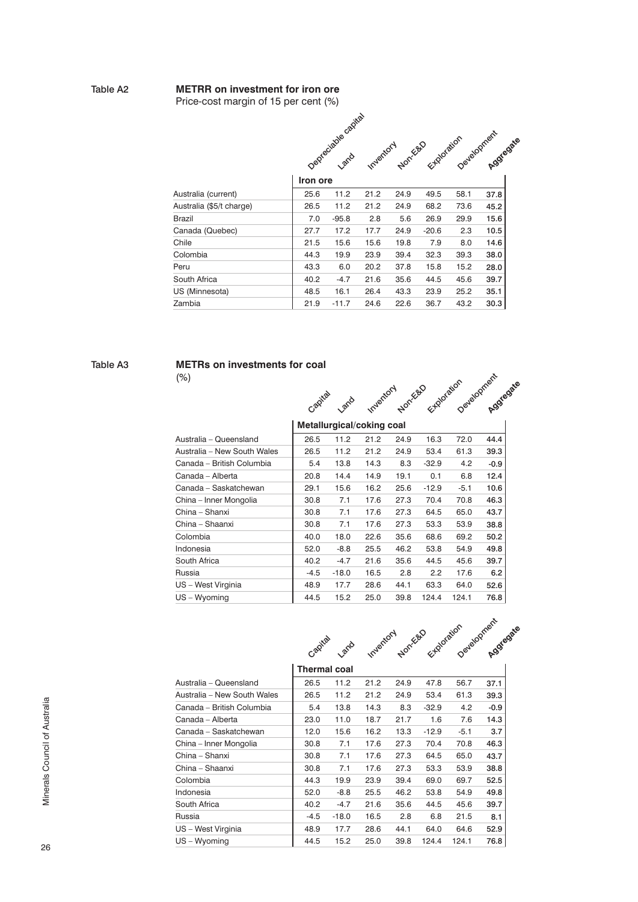#### Table A2 **METRR on investment for iron ore**

Price-cost margin of 15 per cent (%)

|                          |          | Deptediable capital |      |      | Inventory Norresponsible Development Aggregate |      |      |
|--------------------------|----------|---------------------|------|------|------------------------------------------------|------|------|
|                          |          |                     |      |      |                                                |      |      |
|                          | Iron ore |                     |      |      |                                                |      |      |
| Australia (current)      | 25.6     | 11.2                | 21.2 | 24.9 | 49.5                                           | 58.1 | 37.8 |
| Australia (\$5/t charge) | 26.5     | 11.2                | 21.2 | 24.9 | 68.2                                           | 73.6 | 45.2 |
| <b>Brazil</b>            | 7.0      | $-95.8$             | 2.8  | 5.6  | 26.9                                           | 29.9 | 15.6 |
| Canada (Quebec)          | 27.7     | 17.2                | 17.7 | 24.9 | $-20.6$                                        | 2.3  | 10.5 |
| Chile                    | 21.5     | 15.6                | 15.6 | 19.8 | 7.9                                            | 8.0  | 14.6 |
| Colombia                 | 44.3     | 19.9                | 23.9 | 39.4 | 32.3                                           | 39.3 | 38.0 |
| Peru                     | 43.3     | 6.0                 | 20.2 | 37.8 | 15.8                                           | 15.2 | 28.0 |
| South Africa             | 40.2     | $-4.7$              | 21.6 | 35.6 | 44.5                                           | 45.6 | 39.7 |
| US (Minnesota)           | 48.5     | 16.1                | 26.4 | 43.3 | 23.9                                           | 25.2 | 35.1 |
| Zambia                   | 21.9     | $-11.7$             | 24.6 | 22.6 | 36.7                                           | 43.2 | 30.3 |

#### Table A3 **METRs on investments for coal**

(%)



|                             | Metallurgical/coking coal |         |      |      |         |        |        |
|-----------------------------|---------------------------|---------|------|------|---------|--------|--------|
| Australia – Queensland      | 26.5                      | 11.2    | 21.2 | 24.9 | 16.3    | 72.0   | 44.4   |
| Australia - New South Wales | 26.5                      | 11.2    | 21.2 | 24.9 | 53.4    | 61.3   | 39.3   |
| Canada - British Columbia   | 5.4                       | 13.8    | 14.3 | 8.3  | $-32.9$ | 4.2    | $-0.9$ |
| Canada - Alberta            | 20.8                      | 14.4    | 14.9 | 19.1 | 0.1     | 6.8    | 12.4   |
| Canada - Saskatchewan       | 29.1                      | 15.6    | 16.2 | 25.6 | $-12.9$ | $-5.1$ | 10.6   |
| China - Inner Mongolia      | 30.8                      | 7.1     | 17.6 | 27.3 | 70.4    | 70.8   | 46.3   |
| China - Shanxi              | 30.8                      | 7.1     | 17.6 | 27.3 | 64.5    | 65.0   | 43.7   |
| China - Shaanxi             | 30.8                      | 7.1     | 17.6 | 27.3 | 53.3    | 53.9   | 38.8   |
| Colombia                    | 40.0                      | 18.0    | 22.6 | 35.6 | 68.6    | 69.2   | 50.2   |
| Indonesia                   | 52.0                      | $-8.8$  | 25.5 | 46.2 | 53.8    | 54.9   | 49.8   |
| South Africa                | 40.2                      | $-4.7$  | 21.6 | 35.6 | 44.5    | 45.6   | 39.7   |
| Russia                      | $-4.5$                    | $-18.0$ | 16.5 | 2.8  | 2.2     | 17.6   | 6.2    |
| US - West Virginia          | 48.9                      | 17.7    | 28.6 | 44.1 | 63.3    | 64.0   | 52.6   |
| US - Wvoming                | 44.5                      | 15.2    | 25.0 | 39.8 | 124.4   | 124.1  | 76.8   |



|                             | Thermal coal |         |      |      |         |        |        |
|-----------------------------|--------------|---------|------|------|---------|--------|--------|
| Australia - Queensland      | 26.5         | 11.2    | 21.2 | 24.9 | 47.8    | 56.7   | 37.1   |
| Australia - New South Wales | 26.5         | 11.2    | 21.2 | 24.9 | 53.4    | 61.3   | 39.3   |
| Canada - British Columbia   | 5.4          | 13.8    | 14.3 | 8.3  | $-32.9$ | 4.2    | $-0.9$ |
| Canada - Alberta            | 23.0         | 11.0    | 18.7 | 21.7 | 1.6     | 7.6    | 14.3   |
| Canada - Saskatchewan       | 12.0         | 15.6    | 16.2 | 13.3 | $-12.9$ | $-5.1$ | 3.7    |
| China - Inner Mongolia      | 30.8         | 7.1     | 17.6 | 27.3 | 70.4    | 70.8   | 46.3   |
| China – Shanxi              | 30.8         | 7.1     | 17.6 | 27.3 | 64.5    | 65.0   | 43.7   |
| China - Shaanxi             | 30.8         | 7.1     | 17.6 | 27.3 | 53.3    | 53.9   | 38.8   |
| Colombia                    | 44.3         | 19.9    | 23.9 | 39.4 | 69.0    | 69.7   | 52.5   |
| Indonesia                   | 52.0         | $-8.8$  | 25.5 | 46.2 | 53.8    | 54.9   | 49.8   |
| South Africa                | 40.2         | $-4.7$  | 21.6 | 35.6 | 44.5    | 45.6   | 39.7   |
| Russia                      | $-4.5$       | $-18.0$ | 16.5 | 2.8  | 6.8     | 21.5   | 8.1    |
| US - West Virginia          | 48.9         | 17.7    | 28.6 | 44.1 | 64.0    | 64.6   | 52.9   |
| US - Wyoming                | 44.5         | 15.2    | 25.0 | 39.8 | 124.4   | 124.1  | 76.8   |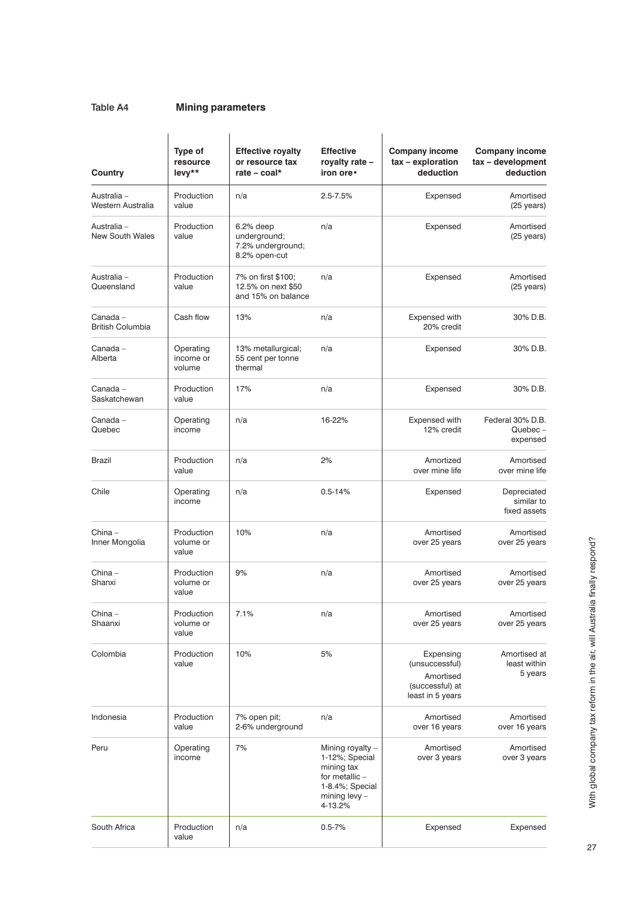#### Table A4 **Mining parameters**

| Country                             | Type of<br>resource<br>levy**    | <b>Effective royalty</b><br>or resource tax<br>rate $-$ coal*     | <b>Effective</b><br>royalty rate -<br>iron ore •                                                                  | <b>Company income</b><br>tax - exploration<br>deduction                         | <b>Company income</b><br>tax - development<br>deduction |
|-------------------------------------|----------------------------------|-------------------------------------------------------------------|-------------------------------------------------------------------------------------------------------------------|---------------------------------------------------------------------------------|---------------------------------------------------------|
| Australia -<br>Western Australia    | Production<br>value              | n/a                                                               | $2.5 - 7.5%$                                                                                                      | Expensed                                                                        | Amortised<br>$(25 \text{ years})$                       |
| Australia -<br>New South Wales      | Production<br>value              | $6.2%$ deep<br>underground;<br>7.2% underground;<br>8.2% open-cut | n/a                                                                                                               | Expensed                                                                        | Amortised<br>$(25 \text{ years})$                       |
| Australia -<br>Queensland           | Production<br>value              | 7% on first \$100;<br>12.5% on next \$50<br>and 15% on balance    | n/a                                                                                                               | Expensed                                                                        | Amortised<br>$(25 \text{ years})$                       |
| Canada –<br><b>British Columbia</b> | Cash flow                        | 13%                                                               | n/a                                                                                                               | Expensed with<br>20% credit                                                     | 30% D.B.                                                |
| Canada –<br>Alberta                 | Operating<br>income or<br>volume | 13% metallurgical;<br>55 cent per tonne<br>thermal                | n/a                                                                                                               | Expensed                                                                        | 30% D.B.                                                |
| Canada -<br>Saskatchewan            | Production<br>value              | 17%                                                               | n/a                                                                                                               | Expensed                                                                        | 30% D.B.                                                |
| Canada –<br>Quebec                  | Operating<br>income              | n/a                                                               | 16-22%                                                                                                            | Expensed with<br>12% credit                                                     | Federal 30% D.B.<br>$Quebec -$<br>expensed              |
| Brazil                              | Production<br>value              | n/a                                                               | 2%                                                                                                                | Amortized<br>over mine life                                                     | Amortised<br>over mine life                             |
| Chile                               | Operating<br>income              | n/a                                                               | $0.5 - 14%$                                                                                                       | Expensed                                                                        | Depreciated<br>similar to<br>fixed assets               |
| China –<br>Inner Mongolia           | Production<br>volume or<br>value | 10%                                                               | n/a                                                                                                               | Amortised<br>over 25 years                                                      | Amortised<br>over 25 years                              |
| China –<br>Shanxi                   | Production<br>volume or<br>value | 9%                                                                | n/a                                                                                                               | Amortised<br>over 25 years                                                      | Amortised<br>over 25 years                              |
| China –<br>Shaanxi                  | Production<br>volume or<br>value | 7.1%                                                              | n/a                                                                                                               | Amortised<br>over 25 years                                                      | Amortised<br>over 25 years                              |
| Colombia                            | Production<br>value              | 10%                                                               | 5%                                                                                                                | Expensing<br>(unsuccessful)<br>Amortised<br>(successful) at<br>least in 5 years | Amortised at<br>least within<br>5 years                 |
| Indonesia                           | Production<br>value              | 7% open pit;<br>2-6% underground                                  | n/a                                                                                                               | Amortised<br>over 16 years                                                      | Amortised<br>over 16 years                              |
| Peru                                | Operating<br>income              | 7%                                                                | Mining royalty -<br>1-12%; Special<br>mining tax<br>for metallic -<br>1-8.4%; Special<br>mining levy -<br>4-13.2% | Amortised<br>over 3 years                                                       | Amortised<br>over 3 years                               |
| South Africa                        | Production<br>value              | n/a                                                               | $0.5 - 7%$                                                                                                        | Expensed                                                                        | Expensed                                                |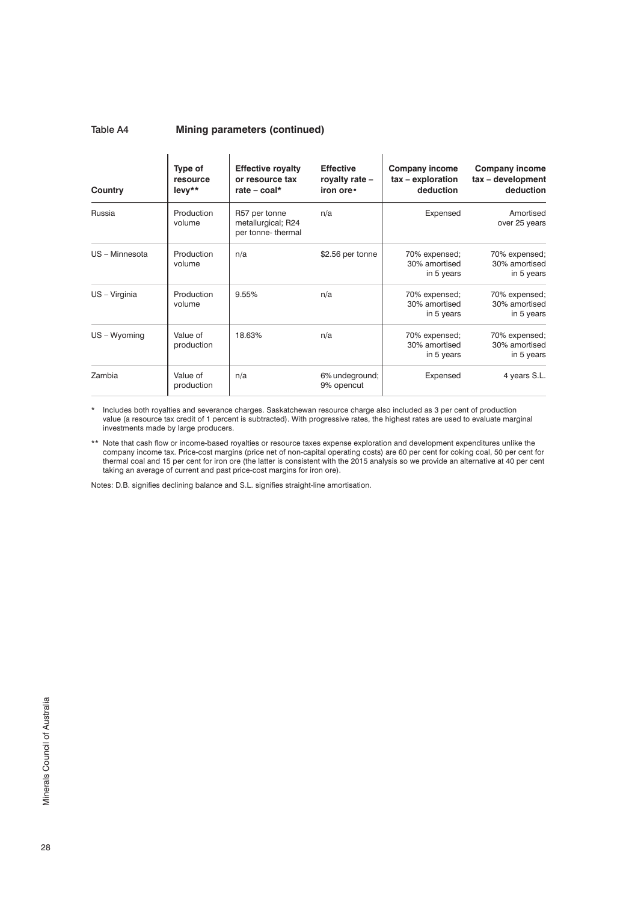#### Table A4 **Mining parameters (continued)**

| Country        | Type of<br>resource<br>$levv**$ | <b>Effective royalty</b><br>or resource tax<br>rate – coal* | <b>Effective</b><br>royalty rate -<br>iron ore. | Company income<br>tax - exploration<br>deduction | <b>Company income</b><br>tax - development<br>deduction |
|----------------|---------------------------------|-------------------------------------------------------------|-------------------------------------------------|--------------------------------------------------|---------------------------------------------------------|
| Russia         | Production<br>volume            | R57 per tonne<br>metallurgical; R24<br>per tonne- thermal   | n/a                                             | Expensed                                         | Amortised<br>over 25 years                              |
| US - Minnesota | Production<br>volume            | n/a                                                         | \$2.56 per tonne                                | 70% expensed;<br>30% amortised<br>in 5 years     | 70% expensed;<br>30% amortised<br>in 5 years            |
| US - Virginia  | Production<br>volume            | 9.55%                                                       | n/a                                             | 70% expensed;<br>30% amortised<br>in 5 years     | 70% expensed;<br>30% amortised<br>in 5 years            |
| $US - Wyominq$ | Value of<br>production          | 18.63%                                                      | n/a                                             | 70% expensed;<br>30% amortised<br>in 5 years     | 70% expensed;<br>30% amortised<br>in 5 years            |
| Zambia         | Value of<br>production          | n/a                                                         | 6% undeground;<br>9% opencut                    | Expensed                                         | 4 years S.L.                                            |

\* Includes both royalties and severance charges. Saskatchewan resource charge also included as 3 per cent of production value (a resource tax credit of 1 percent is subtracted). With progressive rates, the highest rates are used to evaluate marginal investments made by large producers.

\*\* Note that cash flow or income-based royalties or resource taxes expense exploration and development expenditures unlike the company income tax. Price-cost margins (price net of non-capital operating costs) are 60 per cent for coking coal, 50 per cent for thermal coal and 15 per cent for iron ore (the latter is consistent with the 2015 analysis so we provide an alternative at 40 per cent taking an average of current and past price-cost margins for iron ore).

Notes: D.B. signifies declining balance and S.L. signifies straight-line amortisation.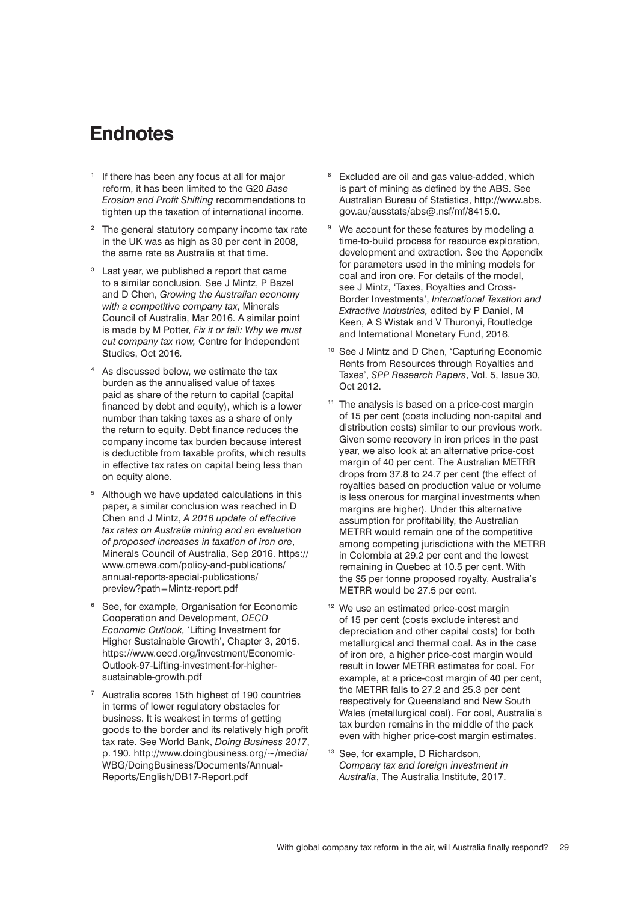### **Endnotes**

- <sup>1</sup> If there has been any focus at all for major reform, it has been limited to the G20 *Base Erosion and Profit Shifting* recommendations to tighten up the taxation of international income.
- The general statutory company income tax rate in the UK was as high as 30 per cent in 2008, the same rate as Australia at that time.
- <sup>3</sup> Last year, we published a report that came to a similar conclusion. See J Mintz, P Bazel and D Chen, *Growing the Australian economy with a competitive company tax*, Minerals Council of Australia, Mar 2016. A similar point is made by M Potter, *Fix it or fail: Why we must cut company tax now,* Centre for Independent Studies, Oct 2016*.*
- As discussed below, we estimate the tax burden as the annualised value of taxes paid as share of the return to capital (capital financed by debt and equity), which is a lower number than taking taxes as a share of only the return to equity. Debt finance reduces the company income tax burden because interest is deductible from taxable profits, which results in effective tax rates on capital being less than on equity alone.
- <sup>5</sup> Although we have updated calculations in this paper, a similar conclusion was reached in D Chen and J Mintz, *A 2016 update of effective tax rates on Australia mining and an evaluation of proposed increases in taxation of iron ore*, Minerals Council of Australia, Sep 2016. https:// www.cmewa.com/policy-and-publications/ annual-reports-special-publications/ preview?path=Mintz-report.pdf
- <sup>6</sup> See, for example, Organisation for Economic Cooperation and Development, *OECD Economic Outlook,* 'Lifting Investment for Higher Sustainable Growth', Chapter 3, 2015. https://www.oecd.org/investment/Economic-Outlook-97-Lifting-investment-for-highersustainable-growth.pdf
- <sup>7</sup> Australia scores 15th highest of 190 countries in terms of lower regulatory obstacles for business. It is weakest in terms of getting goods to the border and its relatively high profit tax rate. See World Bank, *Doing Business 2017*, p. 190. http://www.doingbusiness.org/~/media/ WBG/DoingBusiness/Documents/Annual-Reports/English/DB17-Report.pdf
- <sup>8</sup> Excluded are oil and gas value-added, which is part of mining as defined by the ABS. See Australian Bureau of Statistics, [http://www.abs.](http://www.abs.gov.au/ausstats/abs@.nsf/mf/8415.0) [gov.au/ausstats/abs@.nsf/mf/8415.0](http://www.abs.gov.au/ausstats/abs@.nsf/mf/8415.0).
- <sup>9</sup> We account for these features by modeling a time-to-build process for resource exploration, development and extraction. See the Appendix for parameters used in the mining models for coal and iron ore. For details of the model, see J Mintz, 'Taxes, Royalties and Cross-Border Investments', *International Taxation and Extractive Industries,* edited by P Daniel, M Keen, A ŚWistak and V Thuronyi, Routledge and International Monetary Fund, 2016.
- <sup>10</sup> See J Mintz and D Chen, 'Capturing Economic Rents from Resources through Royalties and Taxes', *SPP Research Papers*, Vol. 5, Issue 30, Oct 2012.
- <sup>11</sup> The analysis is based on a price-cost margin of 15 per cent (costs including non-capital and distribution costs) similar to our previous work. Given some recovery in iron prices in the past year, we also look at an alternative price-cost margin of 40 per cent. The Australian METRR drops from 37.8 to 24.7 per cent (the effect of royalties based on production value or volume is less onerous for marginal investments when margins are higher). Under this alternative assumption for profitability, the Australian METRR would remain one of the competitive among competing jurisdictions with the METRR in Colombia at 29.2 per cent and the lowest remaining in Quebec at 10.5 per cent. With the \$5 per tonne proposed royalty, Australia's METRR would be 27.5 per cent.
- <sup>12</sup> We use an estimated price-cost margin of 15 per cent (costs exclude interest and depreciation and other capital costs) for both metallurgical and thermal coal. As in the case of iron ore, a higher price-cost margin would result in lower METRR estimates for coal. For example, at a price-cost margin of 40 per cent, the METRR falls to 27.2 and 25.3 per cent respectively for Queensland and New South Wales (metallurgical coal). For coal, Australia's tax burden remains in the middle of the pack even with higher price-cost margin estimates.
- <sup>13</sup> See, for example, D Richardson, *Company tax and foreign investment in Australia*, The Australia Institute, 2017.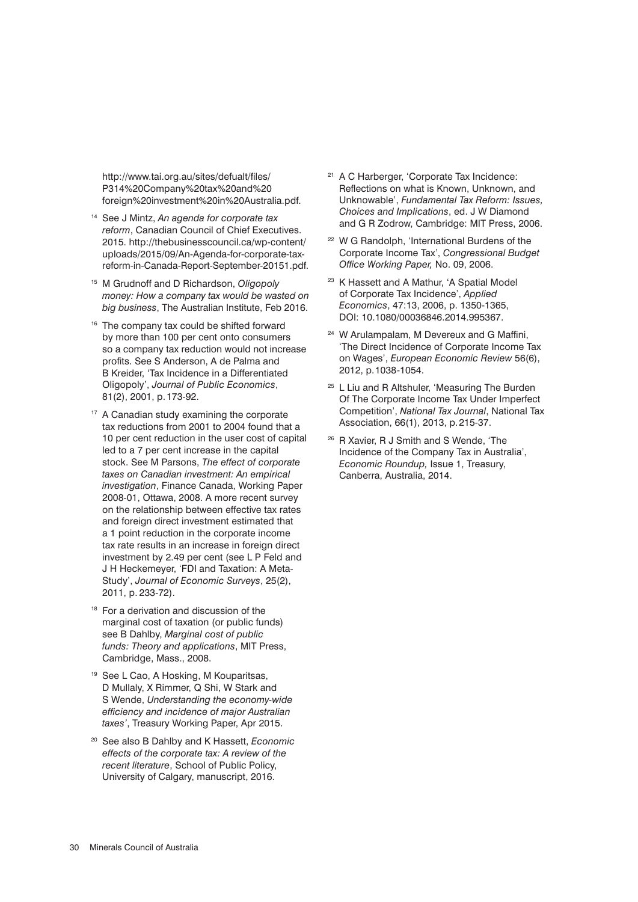http://www.tai.org.au/sites/defualt/files/ P314%20Company%20tax%20and%20 foreign%20investment%20in%20Australia.pdf.

- <sup>14</sup> See J Mintz, *An agenda for corporate tax reform*, Canadian Council of Chief Executives. 2015. [http://thebusinesscouncil.ca/wp-content/](http://thebusinesscouncil.ca/wp-content/uploads/2015/09/An-Agenda-for-corporate-tax-reform-in-Canada-Report-September-20151.pdf) [uploads/2015/09/An-Agenda-for-corporate-tax](http://thebusinesscouncil.ca/wp-content/uploads/2015/09/An-Agenda-for-corporate-tax-reform-in-Canada-Report-September-20151.pdf)[reform-in-Canada-Report-September-20151.pdf.](http://thebusinesscouncil.ca/wp-content/uploads/2015/09/An-Agenda-for-corporate-tax-reform-in-Canada-Report-September-20151.pdf)
- <sup>15</sup> M Grudnoff and D Richardson, *Oligopoly money: How a company tax would be wasted on big business*, The Australian Institute, Feb 2016.
- <sup>16</sup> The company tax could be shifted forward by more than 100 per cent onto consumers so a company tax reduction would not increase profits. See S Anderson, A de Palma and B Kreider, 'Tax Incidence in a Differentiated Oligopoly', *Journal of Public Economics*, 81(2), 2001, p. 173-92.
- <sup>17</sup> A Canadian study examining the corporate tax reductions from 2001 to 2004 found that a 10 per cent reduction in the user cost of capital led to a 7 per cent increase in the capital stock. See M Parsons, *The effect of corporate taxes on Canadian investment: An empirical investigation*, Finance Canada, Working Paper 2008-01, Ottawa, 2008. A more recent survey on the relationship between effective tax rates and foreign direct investment estimated that a 1 point reduction in the corporate income tax rate results in an increase in foreign direct investment by 2.49 per cent (see L P Feld and J H Heckemeyer, 'FDI and Taxation: A Meta-Study', *Journal of Economic Surveys*, 25(2), 2011, p. 233-72).
- <sup>18</sup> For a derivation and discussion of the marginal cost of taxation (or public funds) see B Dahlby, *Marginal cost of public funds: Theory and applications*, MIT Press, Cambridge, Mass., 2008.
- <sup>19</sup> See L Cao, A Hosking, M Kouparitsas, D Mullaly, X Rimmer, Q Shi, W Stark and S Wende, *Understanding the economy-wide efficiency and incidence of major Australian taxes'*, Treasury Working Paper, Apr 2015.
- <sup>20</sup> See also B Dahlby and K Hassett, *Economic effects of the corporate tax: A review of the recent literature*, School of Public Policy, University of Calgary, manuscript, 2016.
- <sup>21</sup> A C Harberger, 'Corporate Tax Incidence: Reflections on what is Known, Unknown, and Unknowable', *Fundamental Tax Reform: Issues, Choices and Implications*, ed. J W Diamond and G R Zodrow, Cambridge: MIT Press, 2006.
- <sup>22</sup> W G Randolph, 'International Burdens of the Corporate Income Tax', *Congressional Budget Office Working Paper,* No. 09, 2006.
- <sup>23</sup> K Hassett and A Mathur, 'A Spatial Model of Corporate Tax Incidence', *Applied Economics*, 47:13, 2006, p. 1350-1365, DOI: 10.1080/00036846.2014.995367.
- <sup>24</sup> W Arulampalam, M Devereux and G Maffini, 'The Direct Incidence of Corporate Income Tax on Wages', *European Economic Review* 56(6), 2012, p.1038-1054.
- <sup>25</sup> L Liu and R Altshuler, 'Measuring The Burden Of The Corporate Income Tax Under Imperfect Competition', *National Tax Journal*, National Tax Association, 66(1), 2013, p.215-37.
- <sup>26</sup> R Xavier, R J Smith and S Wende, 'The Incidence of the Company Tax in Australia', *Economic Roundup,* Issue 1, Treasury, Canberra, Australia, 2014.